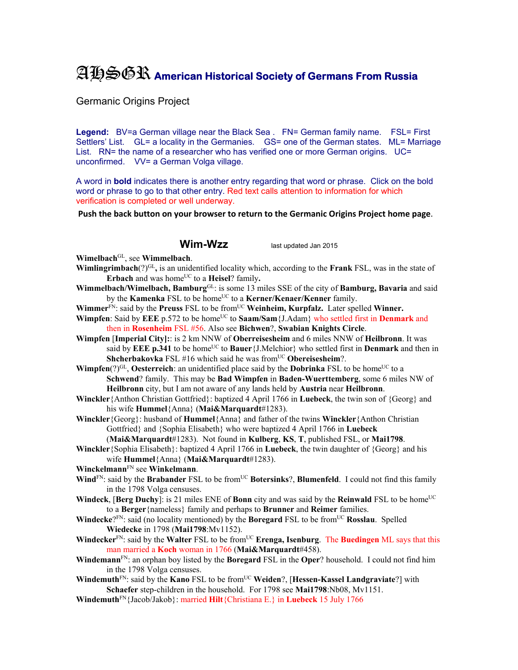## AHSGR **American Historical Society of Germans From Russia**

Germanic Origins Project

Legend: BV=a German village near the Black Sea . FN= German family name. FSL= First Settlers' List. GL= a locality in the Germanies. GS= one of the German states. ML= Marriage List. RN= the name of a researcher who has verified one or more German origins. UC= unconfirmed. VV= a German Volga village.

A word in **bold** indicates there is another entry regarding that word or phrase. Click on the bold word or phrase to go to that other entry. Red text calls attention to information for which verification is completed or well underway.

**Push the back button on your browser to return to the Germanic Origins Project home page**.

**Wim-Wzz** last updated Jan 2015

**Wimelbach**GL, see **Wimmelbach**.

- **Wimlingrimbach**(?)GL**,** is an unidentified locality which, according to the **Frank** FSL, was in the state of Erbach and was home<sup>UC</sup> to a Heisel? family.
- **Wimmelbach/Wimelbach, Bamburg**GL: is some 13 miles SSE of the city of **Bamburg, Bavaria** and said by the **Kamenka** FSL to be home<sup>UC</sup> to a **Kerner/Kenaer/Kenner** family.
- Wimmer<sup>FN</sup>: said by the Preuss FSL to be from<sup>UC</sup> Weinheim, Kurpfalz. Later spelled Winner.
- **Wimpfen**: Said by **EEE** p.572 to be home<sup>UC</sup> to **Saam/Sam**{J.Adam} who settled first in **Denmark** and then in **Rosenheim** FSL #56. Also see **Bichwen**?, **Swabian Knights Circle**.
- **Wimpfen** [**Imperial City]:**: is 2 km NNW of **Oberreisesheim** and 6 miles NNW of **Heilbronn**. It was said by **EEE p.341** to be home<sup>UC</sup> to **Bauer**{J.Melchior} who settled first in **Denmark** and then in **Shcherbakovka** FSL #16 which said he was from<sup>UC</sup> Obereisesheim?.

**Wimpfen**(?)<sup>GL</sup>, **Oesterreich**: an unidentified place said by the **Dobrinka** FSL to be home<sup>UC</sup> to a **Schwend**? family. This may be **Bad Wimpfen** in **Baden-Wuerttemberg**, some 6 miles NW of **Heilbronn** city, but I am not aware of any lands held by **Austria** near **Heilbronn**.

- **Winckler**{Anthon Christian Gottfried}: baptized 4 April 1766 in **Luebeck**, the twin son of {Georg} and his wife **Hummel**{Anna} (**Mai&Marquardt**#1283).
- **Winckler**{Georg}: husband of **Hummel**{Anna} and father of the twins **Winckler**{Anthon Christian Gottfried} and {Sophia Elisabeth} who were baptized 4 April 1766 in **Luebeck**

(**Mai&Marquardt**#1283). Not found in **Kulberg**, **KS**, **T**, published FSL, or **Mai1798**. **Winckler**{Sophia Elisabeth}: baptized 4 April 1766 in **Luebeck**, the twin daughter of {Georg} and his wife **Hummel**{Anna} (**Mai&Marquardt**#1283).

**Winckelmann**FN see **Winkelmann**.

- **Wind**<sup>FN</sup>: said by the **Brabander** FSL to be from<sup>UC</sup> **Botersinks**?, **Blumenfeld**. I could not find this family in the 1798 Volga censuses.
- **Windeck, [Berg Duchy**]: is 21 miles ENE of **Bonn** city and was said by the **Reinwald** FSL to be home<sup>UC</sup> to a **Berger**{nameless} family and perhaps to **Brunner** and **Reimer** families.
- **Windecke**?FN: said (no locality mentioned) by the **Boregard** FSL to be fromUC **Rosslau**. Spelled **Wiedecke** in 1798 (**Mai1798**:Mv1152).
- **Windecker**<sup>FN</sup>: said by the **Walter** FSL to be from<sup>UC</sup> **Erenga, Isenburg**. The **Buedingen** ML says that this man married a **Koch** woman in 1766 (**Mai&Marquardt**#458).
- **Windemann**FN: an orphan boy listed by the **Boregard** FSL in the **Oper**? household. I could not find him in the 1798 Volga censuses.
- **Windemuth**<sup>FN</sup>: said by the **Kano** FSL to be from<sup>UC</sup> **Weiden**?, [Hessen-Kassel Landgraviate?] with **Schaefer** step-children in the household. For 1798 see **Mai1798**:Nb08, Mv1151.
- **Windemuth**FN{Jacob/Jakob}: married **Hilt**{Christiana E.} in **Luebeck** 15 July 1766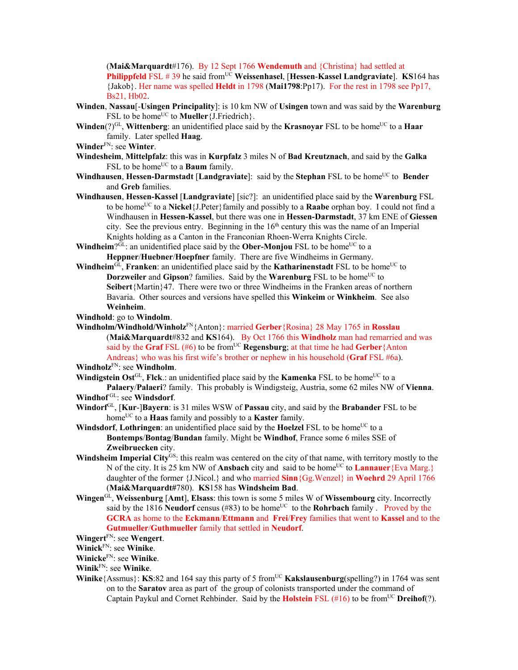(**Mai&Marquardt**#176). By 12 Sept 1766 **Wendemuth** and {Christina} had settled at **Philippfeld** FSL # 39 he said fromUC **Weissenhasel**, [**Hessen**-**Kassel Landgraviate**]. **KS**164 has {Jakob}. Her name was spelled **Heldt** in 1798 (**Mai1798**:Pp17). For the rest in 1798 see Pp17, Bs21, Hb02.

- **Winden**, **Nassau**[-**Usingen Principality**]: is 10 km NW of **Usingen** town and was said by the **Warenburg** FSL to be home<sup>UC</sup> to **Mueller** {J.Friedrich }.
- **Winden**(?)<sup>GL</sup>, **Wittenberg**: an unidentified place said by the **Krasnoyar** FSL to be home<sup>UC</sup> to a **Haar** family. Later spelled **Haag**.
- **Winder**FN: see **Winter**.
- **Windesheim**, **Mittelpfalz**: this was in **Kurpfalz** 3 miles N of **Bad Kreutznach**, and said by the **Galka** FSL to be home<sup>UC</sup> to a **Baum** family.
- **Windhausen, Hessen-Darmstadt** [Landgraviate]: said by the **Stephan** FSL to be home<sup>UC</sup> to **Bender** and **Greb** families.
- **Windhausen**, **Hessen-Kassel** [**Landgraviate**] [sic?]: an unidentified place said by the **Warenburg** FSL to be homeUC to a **Nickel**{J.Peter}family and possibly to a **Raabe** orphan boy. I could not find a Windhausen in **Hessen-Kassel**, but there was one in **Hessen-Darmstadt**, 37 km ENE of **Giessen** city. See the previous entry. Beginning in the  $16<sup>th</sup>$  century this was the name of an Imperial Knights holding as a Canton in the Franconian Rhoen-Werra Knights Circle.
- **Windheim**? $\overline{G}L$ : an unidentified place said by the **Ober-Monjou** FSL to be home<sup>UC</sup> to a **Heppner**/**Huebner**/**Hoepfner** family. There are five Windheims in Germany.
- **Windheim**<sup>GL</sup>, **Franken**: an unidentified place said by the **Katharinenstadt** FSL to be home<sup>UC</sup> to **Dorzweiler** and **Gipson**? families. Said by the **Warenburg** FSL to be home<sup>UC</sup> to **Seibert**{Martin}47. There were two or three Windheims in the Franken areas of northern Bavaria. Other sources and versions have spelled this **Winkeim** or **Winkheim**. See also **Weinheim**.
- **Windhold**: go to **Windolm**.
- **Windholm/Windhold/Winholz**FN{Anton}: married **Gerber**{Rosina} 28 May 1765 in **Rosslau** (**Mai&Marquardt**#832 and **KS**164). By Oct 1766 this **Windholz** man had remarried and was said by the **Graf** FSL (#6) to be from<sup>UC</sup> **Regensburg**; at that time he had **Gerber**{Anton Andreas} who was his first wife's brother or nephew in his household (**Graf** FSL #6a).

**Windholz**FN: see **Windholm**.

**Windigstein Ost**<sup>GL</sup>, **Flck**.: an unidentified place said by the **Kamenka** FSL to be home<sup>UC</sup> to a **Palaery**/**Palaeri**? family. This probably is Windigsteig, Austria, some 62 miles NW of **Vienna**.

- **Windhof** GL: see **Windsdorf**.
- **Windorf**GL, [**Kur**-]**Bayern**: is 31 miles WSW of **Passau** city, and said by the **Brabander** FSL to be home<sup>UC</sup> to a **Haas** family and possibly to a **Kaster** family.

**Windsdorf, Lothringen**: an unidentified place said by the **Hoelzel** FSL to be home<sup>UC</sup> to a **Bontemps**/**Bontag**/**Bundan** family. Might be **Windhof**, France some 6 miles SSE of **Zweibruecken** city.

- Windsheim Imperial City<sup>GS</sup>: this realm was centered on the city of that name, with territory mostly to the N of the city. It is 25 km NW of **Ansbach** city and said to be home<sup>UC</sup> to **Lannauer**{Eva Marg.} daughter of the former {J.Nicol.} and who married **Sinn**{Gg.Wenzel} in **Woehrd** 29 April 1766 (**Mai&Marquardt#**780). **KS**158 has **Windsheim Bad**.
- **Wingen**GL, **Weissenburg** [**Amt**], **Elsass**: this town is some 5 miles W of **Wissembourg** city. Incorrectly said by the 1816 **Neudorf** census (#83) to be home<sup>UC</sup> to the **Rohrbach** family . Proved by the **GCRA** as home to the **Eckmann**/**Ettmann** and **Frei**/**Frey** families that went to **Kassel** and to the **Gutmueller**/**Guthmueller** family that settled in **Neudorf**.

**Wingert**FN: see **Wengert**.

**Winick**FN: see **Winike**.

**Winicke**FN: see **Winike**.

**Winik**FN: see **Winike**.

**Winike**{Assmus}: **KS**:82 and 164 say this party of 5 from<sup>UC</sup> **Kakslausenburg**(spelling?) in 1764 was sent on to the **Saratov** area as part of the group of colonists transported under the command of Captain Paykul and Cornet Rehbinder. Said by the **Holstein** FSL (#16) to be from<sup>UC</sup> **Dreihof**(?).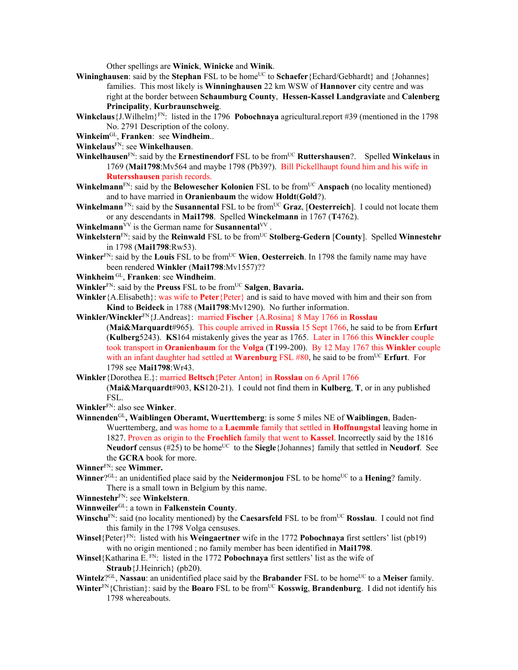Other spellings are **Winick**, **Winicke** and **Winik**.

- Wininghausen: said by the Stephan FSL to be home<sup>UC</sup> to Schaefer {Echard/Gebhardt} and {Johannes} families. This most likely is **Winninghausen** 22 km WSW of **Hannover** city centre and was right at the border between **Schaumburg County**, **Hessen-Kassel Landgraviate** and **Calenberg Principality**, **Kurbraunschweig**.
- **Winkclaus**{J.Wilhelm}FN: listed in the 1796 **Pobochnaya** agricultural.report #39 (mentioned in the 1798 No. 2791 Description of the colony.
- **Winkeim**GL, **Franken**: see **Windheim**..
- **Winkelaus**FN: see **Winkelhausen**.
- **Winkelhausen**<sup>FN</sup>: said by the **Ernestinendorf** FSL to be from<sup>UC</sup> **Ruttershausen**?. Spelled **Winkelaus** in 1769 (**Mai1798**:Mv564 and maybe 1798 (Pb39?). Bill Pickellhaupt found him and his wife in **Rutersshausen** parish records.
- **Winkelmann**<sup>FN</sup>: said by the **Belowescher Kolonien** FSL to be from<sup>UC</sup> Anspach (no locality mentioned) and to have married in **Oranienbaum** the widow **Holdt**(**Gold**?).
- **Winkelmann** FN: said by the **Susannental** FSL to be from<sup>UC</sup> **Graz**, [Oesterreich]. I could not locate them or any descendants in **Mai1798**. Spelled **Winckelmann** in 1767 (**T**4762).
- **Winkelmann**<sup>VV</sup> is the German name for **Susannental**<sup>VV</sup>.
- **Winkelstern**<sup>FN</sup>: said by the **Reinwald** FSL to be from<sup>UC</sup> **Stolberg-Gedern** [County]. Spelled Winnestehr in 1798 (**Mai1798**:Rw53).
- **Winker**<sup>FN</sup>: said by the **Louis** FSL to be from<sup>UC</sup> **Wien, Oesterreich**. In 1798 the family name may have been rendered **Winkler** (**Mai1798**:Mv1557)??
- **Winkheim** GL, **Franken**: see **Windheim**.
- **Winkler**FN: said by the **Preuss** FSL to be fromUC **Salgen**, **Bavaria.**
- **Winkler**{A.Elisabeth}: was wife to **Peter**{Peter} and is said to have moved with him and their son from **Kind** to **Beideck** in 1788 (**Mai1798**:Mv1290). No further information.
- **Winkler/Winckler**FN{J.Andreas}: married **Fischer** {A.Rosina} 8 May 1766 in **Rosslau** (**Mai&Marquardt**#965). This couple arrived in **Russia** 15 Sept 1766, he said to be from **Erfurt** (**Kulberg**5243). **KS**164 mistakenly gives the year as 1765. Later in 1766 this **Winckler** couple took transport in **Oranienbaum** for the **Volga** (**T**199-200). By 12 May 1767 this **Winkler** couple with an infant daughter had settled at **Warenburg** FSL #80, he said to be from<sup>UC</sup> **Erfurt**. For 1798 see **Mai1798**:Wr43.
- **Winkler**{Dorothea E.}: married **Beltsch**{Peter Anton} in **Rosslau** on 6 April 1766
	- (**Mai&Marquardt**#903, **KS**120-21). I could not find them in **Kulberg**, **T**, or in any published FSL.

**Winkler**FN: also see **Winker**.

- **Winnenden**GL**, Waiblingen Oberamt, Wuerttemberg**: is some 5 miles NE of **Waiblingen**, Baden-Wuerttemberg, and was home to a **Laemmle** family that settled in **Hoffnungstal** leaving home in 1827. Proven as origin to the **Froehlich** family that went to **Kassel**. Incorrectly said by the 1816 **Neudorf** census ( $#25$ ) to be home<sup>UC</sup> to the **Siegle**{Johannes} family that settled in **Neudorf**. See the **GCRA** book for more.
- **Winner**FN: see **Wimmer.**
- **Winner**?<sup>GL</sup>: an unidentified place said by the **Neidermonjou** FSL to be home<sup>UC</sup> to a **Hening**? family. There is a small town in Belgium by this name.
- **Winnestehr**FN: see **Winkelstern**.
- **Winnweiler**GL: a town in **Falkenstein County**.
- **Winschu**FN: said (no locality mentioned) by the **Caesarsfeld** FSL to be from<sup>UC</sup> **Rosslau**. I could not find this family in the 1798 Volga censuses.
- **Winsel**{Peter}FN: listed with his **Weingaertner** wife in the 1772 **Pobochnaya** first settlers' list (pb19) with no origin mentioned ; no family member has been identified in **Mai1798**.
- **Winsel**{Katharina E. FN: listed in the 1772 **Pobochnaya** first settlers' list as the wife of **Straub**{J.Heinrich} (pb20).
- **Wintelz**?GL, **Nassau**: an unidentified place said by the **Brabander** FSL to be home<sup>UC</sup> to a **Meiser** family.
- **Winter**<sup>FN</sup>{Christian}: said by the **Boaro** FSL to be from<sup>UC</sup> **Kosswig, Brandenburg**. I did not identify his 1798 whereabouts.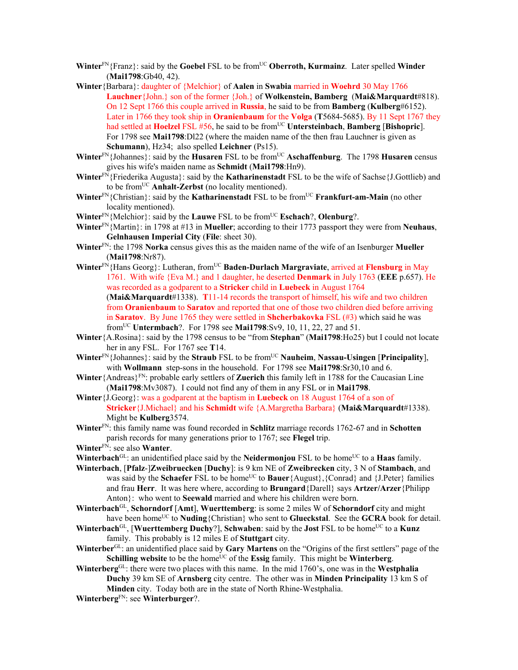- **Winter**<sup>FN</sup>{Franz}: said by the **Goebel** FSL to be from<sup>UC</sup> **Oberroth, Kurmainz**. Later spelled **Winder** (**Mai1798**:Gb40, 42).
- **Winter**{Barbara}: daughter of {Melchior} of **Aalen** in **Swabia** married in **Woehrd** 30 May 1766 **Lauchner**{John.} son of the former {Joh.} of **Wolkenstein, Bamberg** (**Mai&Marquardt**#818). On 12 Sept 1766 this couple arrived in **Russia**, he said to be from **Bamberg** (**Kulberg**#6152). Later in 1766 they took ship in **Oranienbaum** for the **Volga** (**T**5684-5685). By 11 Sept 1767 they had settled at **Hoelzel** FSL #56, he said to be from<sup>UC</sup> **Untersteinbach**, **Bamberg** [Bishopric]. For 1798 see **Mai1798**:Dl22 (where the maiden name of the then frau Lauchner is given as **Schumann**), Hz34; also spelled **Leichner** (Ps15).
- Winter<sup>FN</sup>{Johannes}: said by the **Husaren** FSL to be from<sup>UC</sup> Aschaffenburg. The 1798 **Husaren** census gives his wife's maiden name as **Schmidt** (**Mai1798**:Hn9).
- **Winter**FN{Friederika Augusta}: said by the **Katharinenstadt** FSL to be the wife of Sachse{J.Gottlieb) and to be fromUC **Anhalt-Zerbst** (no locality mentioned).
- Winter<sup>FN</sup>{Christian}: said by the **Katharinenstadt** FSL to be from<sup>UC</sup> **Frankfurt-am-Main** (no other locality mentioned).
- **Winter**FN{Melchior}: said by the **Lauwe** FSL to be fromUC **Eschach**?, **Olenburg**?.
- **Winter**FN{Martin}: in 1798 at #13 in **Mueller**; according to their 1773 passport they were from **Neuhaus**, **Gelnhausen Imperial City** (**File**: sheet 30).
- **Winter**FN: the 1798 **Norka** census gives this as the maiden name of the wife of an Isenburger **Mueller** (**Mai1798**:Nr87).
- **Winter**FN{Hans Georg}: Lutheran, fromUC **Baden-Durlach Margraviate**, arrived at **Flensburg** in May 1761. With wife {Eva M.} and 1 daughter, he deserted **Denmark** in July 1763 (**EEE** p.657). He was recorded as a godparent to a **Stricker** child in **Luebeck** in August 1764 (**Mai&Marquardt**#1338). **T**11-14 records the transport of himself, his wife and two children from **Oranienbaum** to **Saratov** and reported that one of those two children died before arriving in **Saratov**. By June 1765 they were settled in **Shcherbakovka** FSL (#3) which said he was fromUC **Untermbach**?. For 1798 see **Mai1798**:Sv9, 10, 11, 22, 27 and 51.
- **Winter**{A.Rosina}: said by the 1798 census to be "from **Stephan**" (**Mai1798**:Ho25) but I could not locate her in any FSL. For 1767 see **T**14.
- **Winter**FN{Johannes}: said by the **Straub** FSL to be fromUC **Nauheim**, **Nassau-Usingen** [**Principality**], with **Wollmann** step-sons in the household. For 1798 see **Mai1798**:Sr30,10 and 6.
- **Winter**{Andreas}FN: probable early settlers of **Zuerich** this family left in 1788 for the Caucasian Line (**Mai1798**:Mv3087). I could not find any of them in any FSL or in **Mai1798**.
- **Winter**{J.Georg}: was a godparent at the baptism in **Luebeck** on 18 August 1764 of a son of **Stricker**{J.Michael} and his **Schmidt** wife {A.Margretha Barbara} (**Mai&Marquardt**#1338). Might be **Kulberg**3574.

**Winter**FN: this family name was found recorded in **Schlitz** marriage records 1762-67 and in **Schotten** parish records for many generations prior to 1767; see **Flegel** trip.

- **Winter**FN: see also **Wanter**.
- **Winterbach**<sup>GL</sup>: an unidentified place said by the **Neidermonjou** FSL to be home<sup>UC</sup> to a **Haas** family.
- **Winterbach**, [**Pfalz**-]**Zweibruecken** [**Duchy**]: is 9 km NE of **Zweibrecken** city, 3 N of **Stambach**, and was said by the **Schaefer** FSL to be home<sup>UC</sup> to **Bauer**{August},{Conrad} and {J.Peter} families and frau **Herr**. It was here where, according to **Brungard**{Darell} says **Artzer/Arzer**{Philipp Anton}: who went to **Seewald** married and where his children were born.
- **Winterbach**GL, **Schorndorf** [**Amt**], **Wuerttemberg**: is some 2 miles W of **Schorndorf** city and might have been home<sup>UC</sup> to **Nuding**{Christian} who sent to **Glueckstal**. See the **GCRA** book for detail.
- **Winterbach**<sup>GL</sup>, [Wuerttemberg Duchy?], Schwaben: said by the **Jost** FSL to be home<sup>UC</sup> to a **Kunz** family. This probably is 12 miles E of **Stuttgart** city.
- **Winterber**GL: an unidentified place said by **Gary Martens** on the "Origins of the first settlers" page of the **Schilling website** to be the home<sup>UC</sup> of the **Essig** family. This might be **Winterberg**.
- **Winterberg**GL: there were two places with this name. In the mid 1760's, one was in the **Westphalia Duchy** 39 km SE of **Arnsberg** city centre. The other was in **Minden Principality** 13 km S of **Minden** city. Today both are in the state of North Rhine-Westphalia.
- **Winterberg**FN: see **Winterburger**?.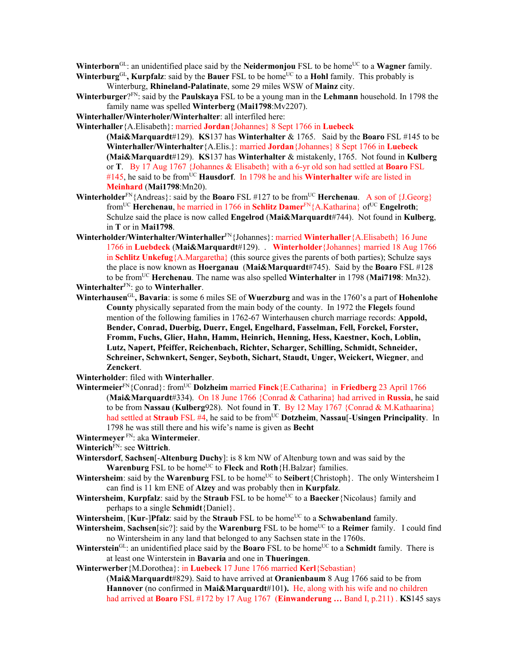**Winterborn**<sup>GL</sup>: an unidentified place said by the **Neidermonjou** FSL to be home<sup>UC</sup> to a **Wagner** family.

- **Winterburg**GL, **Kurpfalz**: said by the **Bauer** FSL to be home<sup>UC</sup> to a **Hohl** family. This probably is Winterburg, **Rhineland-Palatinate**, some 29 miles WSW of **Mainz** city.
- **Winterburger**?FN: said by the **Paulskaya** FSL to be a young man in the **Lehmann** household. In 1798 the family name was spelled **Winterberg** (**Mai1798**:Mv2207).
- **Winterhaller/Winterholer/Winterhalter**: all interfiled here:
- **Winterhaller**{A.Elisabeth}: married **Jordan**{Johannes} 8 Sept 1766 in **Luebeck**

**(Mai&Marquardt**#129). **KS**137 has **Winterhalter** & 1765. Said by the **Boaro** FSL #145 to be **Winterhaller/Winterhalter**{A.Elis.}: married **Jordan**{Johannes} 8 Sept 1766 in **Luebeck (Mai&Marquardt**#129). **KS**137 has **Winterhalter** & mistakenly, 1765. Not found in **Kulberg** or **T**. By 17 Aug 1767 {Johannes & Elisabeth} with a 6-yr old son had settled at **Boaro** FSL #145, he said to be from<sup>UC</sup> **Hausdorf**. In 1798 he and his **Winterhalter** wife are listed in **Meinhard** (**Mai1798**:Mn20).

- **Winterholder**<sup>FN</sup>{Andreas}: said by the **Boaro** FSL #127 to be from<sup>UC</sup> **Herchenau**. A son of {J.Georg} from<sup>UC</sup> **Herchenau**, he married in 1766 in **Schlitz Damer**<sup>FN</sup>{A.Katharina} of<sup>UC</sup> **Engelroth**; Schulze said the place is now called **Engelrod** (**Mai&Marquardt**#744). Not found in **Kulberg**, in **T** or in **Mai1798**.
- **Winterholder/Winterhalter/Winterhaller**FN{Johannes}: married **Winterhaller**{A.Elisabeth} 16 June 1766 in **Luebdeck** (**Mai&Marquardt**#129). . **Winterholder**{Johannes} married 18 Aug 1766 in **Schlitz Unkefug**{A.Margaretha} (this source gives the parents of both parties); Schulze says the place is now known as **Hoerganau** (**Mai&Marquardt**#745). Said by the **Boaro** FSL #128 to be fromUC **Herchenau**. The name was also spelled **Winterhalter** in 1798 (**Mai7198**: Mn32). **Winterhalter**FN: go to **Winterhaller**.
- **Winterhausen**GL**, Bavaria**: is some 6 miles SE of **Wuerzburg** and was in the 1760's a part of **Hohenlohe County** physically separated from the main body of the county. In 1972 the **Flegel**s found mention of the following families in 1762-67 Winterhausen church marriage records: **Appold, Bender, Conrad, Duerbig, Duerr, Engel, Engelhard, Fasselman, Fell, Forckel, Forster, Fromm, Fuchs, Glier, Hahn, Hamm, Heinrich, Henning, Hess, Kaestner, Koch, Loblin, Lutz, Napert, Pfeiffer, Reichenbach, Richter, Scharger, Schilling, Schmidt, Schneider, Schreiner, Schwnkert, Senger, Seyboth, Sichart, Staudt, Unger, Weickert, Wiegner**, and **Zenckert**.

**Winterholder**: filed with **Winterhaller**.

- **Wintermeier**<sup>FN</sup>{Conrad}: from<sup>UC</sup> **Dolzheim married Finck**{E.Catharina} in **Friedberg** 23 April 1766 (**Mai&Marquardt**#334). On 18 June 1766 {Conrad & Catharina} had arrived in **Russia**, he said to be from **Nassau** (**Kulberg**928). Not found in **T**. By 12 May 1767 {Conrad & M.Kathaarina} had settled at **Straub** FSL #4, he said to be fromUC **Dotzheim**, **Nassau**[-**Usingen Principality**. In 1798 he was still there and his wife's name is given as **Becht**
- **Wintermeyer** FN: aka **Wintermeier**.
- **Winterich**FN: see **Wittrich**.
- **Wintersdorf**, **Sachsen**[-**Altenburg Duchy**]: is 8 km NW of Altenburg town and was said by the **Warenburg** FSL to be home<sup>UC</sup> to Fleck and Roth {H.Balzar} families.
- **Wintersheim**: said by the **Warenburg** FSL to be home<sup>UC</sup> to **Seibert**{Christoph}. The only Wintersheim I can find is 11 km ENE of **Alzey** and was probably then in **Kurpfalz**.
- **Wintersheim, Kurpfalz**: said by the **Straub** FSL to be home<sup>UC</sup> to a **Baecker**{Nicolaus} family and perhaps to a single **Schmidt**{Daniel}.
- **Wintersheim, [Kur-]Pfalz**: said by the **Straub** FSL to be home<sup>UC</sup> to a **Schwabenland** family.
- **Wintersheim, Sachsen**[sic?]: said by the **Warenburg** FSL to be home<sup>UC</sup> to a **Reimer** family. I could find no Wintersheim in any land that belonged to any Sachsen state in the 1760s.
- Winterstein<sup>GL</sup>: an unidentified place said by the **Boaro** FSL to be home<sup>UC</sup> to a **Schmidt** family. There is at least one Winterstein in **Bavaria** and one in **Thueringen**.
- **Winterwerber**{M.Dorothea}: in **Luebeck** 17 June 1766 married **Kerl**{Sebastian}

(**Mai&Marquardt**#829). Said to have arrived at **Oranienbaum** 8 Aug 1766 said to be from **Hannover** (no confirmed in **Mai&Marquardt**#101**).** He, along with his wife and no children had arrived at **Boaro** FSL #172 by 17 Aug 1767 (**Einwanderung …** Band I, p.211) . **KS**145 says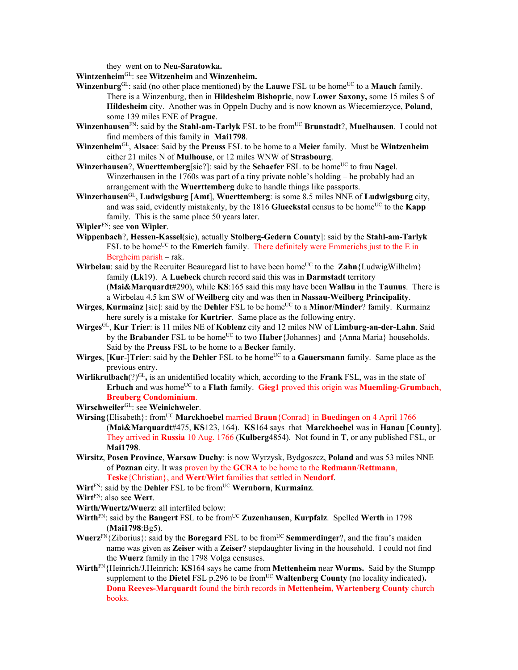they went on to **Neu-Saratowka.** 

**Wintzenheim**GL: see **Witzenheim** and **Winzenheim.** 

- **Winzenburg**<sup>GL</sup>: said (no other place mentioned) by the **Lauwe** FSL to be home<sup>UC</sup> to a **Mauch** family. There is a Winzenburg, then in **Hildesheim Bishopric**, now **Lower Saxony,** some 15 miles S of **Hildesheim** city. Another was in Oppeln Duchy and is now known as Wiecemierzyce, **Poland**, some 139 miles ENE of **Prague**.
- **Winzenhausen**<sup>FN</sup>: said by the **Stahl-am-Tarlyk** FSL to be from<sup>UC</sup> **Brunstadt**?, **Muelhausen**. I could not find members of this family in **Mai1798**.
- **Winzenheim**GL, **Alsace**: Said by the **Preuss** FSL to be home to a **Meier** family. Must be **Wintzenheim** either 21 miles N of **Mulhouse**, or 12 miles WNW of **Strasbourg**.
- **Winzerhausen?, Wuerttemberg**[sic?]: said by the **Schaefer** FSL to be home<sup>UC</sup> to frau **Nagel**. Winzerhausen in the 1760s was part of a tiny private noble's holding – he probably had an arrangement with the **Wuerttemberg** duke to handle things like passports.
- **Winzerhausen**GL, **Ludwigsburg** [**Amt**], **Wuerttemberg**: is some 8.5 miles NNE of **Ludwigsburg** city, and was said, evidently mistakenly, by the  $1816$  **Glueckstal** census to be home<sup>UC</sup> to the **Kapp** family. This is the same place 50 years later.

**Wipler**FN: see **von Wipler**.

- **Wippenbach**?, **Hessen-Kassel**(sic), actually **Stolberg-Gedern County**]: said by the **Stahl-am-Tarlyk** FSL to be home<sup>UC</sup> to the **Emerich** family. There definitely were Emmerichs just to the E in Bergheim parish – rak.
- **Wirbelau**: said by the Recruiter Beauregard list to have been home<sup>UC</sup> to the **Zahn**{LudwigWilhelm} family (**Lk**19). A **Luebeck** church record said this was in **Darmstadt** territory (**Mai&Marquardt**#290), while **KS**:165 said this may have been **Wallau** in the **Taunus**. There is a Wirbelau 4.5 km SW of **Weilberg** city and was then in **Nassau-Weilberg Principality**.
- **Wirges**, **Kurmainz** [sic]: said by the **Dehler** FSL to be home<sup>UC</sup> to a **Minor/Minder**? family. Kurmainz here surely is a mistake for **Kurtrier**. Same place as the following entry.
- **Wirges**GL, **Kur Trier**: is 11 miles NE of **Koblenz** city and 12 miles NW of **Limburg-an-der-Lahn**. Said by the **Brabander** FSL to be home<sup>UC</sup> to two **Haber**{Johannes} and {Anna Maria} households. Said by the **Preuss** FSL to be home to a **Becker** family.
- Wirges, [Kur-]Trier: said by the Dehler FSL to be home<sup>UC</sup> to a Gauersmann family. Same place as the previous entry.
- **Wirlikrulbach**(?)<sup>GL</sup>, is an unidentified locality which, according to the **Frank** FSL, was in the state of **Erbach** and was home<sup>UC</sup> to a **Flath** family. **Gieg1** proved this origin was **Muemling-Grumbach**, **Breuberg Condominium**.

**Wirschweiler**GL: see **Weinichweler**.

- **Wirsing**{Elisabeth}: fromUC **Marckhoebel** married **Braun**{Conrad} in **Buedingen** on 4 April 1766 (**Mai&Marquardt**#475, **KS**123, 164). **KS**164 says that **Marckhoebel** was in **Hanau** [**County**]. They arrived in **Russia** 10 Aug. 1766 (**Kulberg**4854). Not found in **T**, or any published FSL, or **Mai1798**.
- **Wirsitz**, **Posen Province**, **Warsaw Duchy**: is now Wyrzysk, Bydgoszcz, **Poland** and was 53 miles NNE of **Poznan** city. It was proven by the **GCRA** to be home to the **Redmann**/**Rettmann**, **Teske**{Christian}, and **Wert**/**Wirt** families that settled in **Neudorf**.
- **Wirt**FN: said by the **Dehler** FSL to be fromUC **Wernborn**, **Kurmainz**.
- **Wirt**FN: also see **Wert**.
- **Wirth/Wuertz/Wuerz**: all interfiled below:
- Wirth<sup>FN</sup>: said by the Bangert FSL to be from<sup>UC</sup> Zuzenhausen, Kurpfalz. Spelled Werth in 1798 (**Mai1798**:Bg5).
- **Wuerz**FN{Ziborius}: said by the **Boregard** FSL to be fromUC **Semmerdinger**?, and the frau's maiden name was given as **Zeiser** with a **Zeiser**? stepdaughter living in the household. I could not find the **Wuerz** family in the 1798 Volga censuses.
- **Wirth**FN{Heinrich/J.Heinrich: **KS**164 says he came from **Mettenheim** near **Worms.** Said by the Stumpp supplement to the **Dietel** FSL p.296 to be from<sup>UC</sup> **Waltenberg County** (no locality indicated). **Dona Reeves-Marquardt** found the birth records in **Mettenheim, Wartenberg County** church books.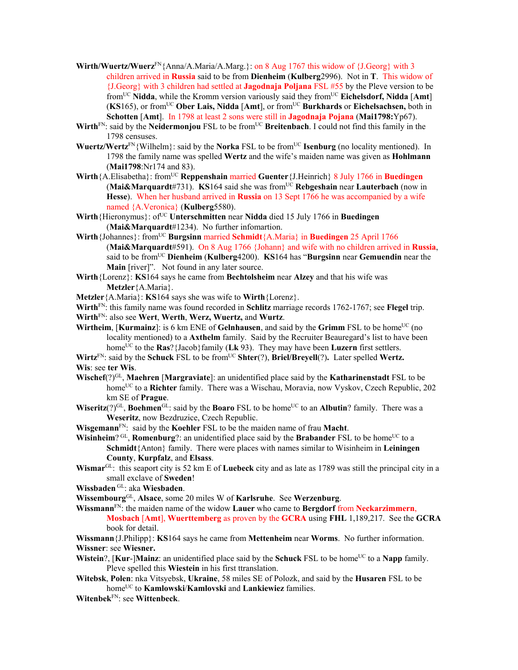- **Wirth/Wuertz/Wuerz**FN{Anna/A.Maria/A.Marg.}: on 8 Aug 1767 this widow of {J.Georg} with 3 children arrived in **Russia** said to be from **Dienheim** (**Kulberg**2996). Not in **T**. This widow of {J.Georg} with 3 children had settled at **Jagodnaja Poljana** FSL #55 by the Pleve version to be fromUC **Nidda**, while the Kromm version variously said they fromUC **Eichelsdorf, Nidda** [**Amt**] (**KS**165), or fromUC **Ober Lais, Nidda** [**Amt**], or fromUC **Burkhards** or **Eichelsachsen,** both in **Schotten** [**Amt**]. In 1798 at least 2 sons were still in **Jagodnaja Pojana** (**Mai1798:**Yp67).
- Wirth<sup>FN</sup>: said by the **Neidermonjou** FSL to be from<sup>UC</sup> **Breitenbach**. I could not find this family in the 1798 censuses.
- **Wuertz/Wertz**<sup>FN</sup>{Wilhelm}: said by the **Norka** FSL to be from<sup>UC</sup> **Isenburg** (no locality mentioned). In 1798 the family name was spelled **Wertz** and the wife's maiden name was given as **Hohlmann** (**Mai1798**:Nr174 and 83).
- **Wirth**{A.Elisabetha}: fromUC **Reppenshain** married **Guenter**{J.Heinrich} 8 July 1766 in **Buedingen**  (**Mai&Marquardt**#731). **KS**164 said she was fromUC **Rebgeshain** near **Lauterbach** (now in **Hesse**). When her husband arrived in **Russia** on 13 Sept 1766 he was accompanied by a wife named {A.Veronica} (**Kulberg**5580).
- **Wirth** {Hieronymus}: of<sup>UC</sup> **Unterschmitten** near **Nidda** died 15 July 1766 in **Buedingen** (**Mai&Marquardt**#1234). No further infomartion.
- **Wirth**{Johannes}: from<sup>UC</sup> **Burgsinn married Schmidt**{A.Maria} in **Buedingen** 25 April 1766 (**Mai&Marquardt**#591). On 8 Aug 1766 {Johann} and wife with no children arrived in **Russia**, said to be fromUC **Dienheim** (**Kulberg**4200). **KS**164 has "**Burgsinn** near **Gemuendin** near the **Main** [river]". Not found in any later source.
- **Wirth**{Lorenz}: **KS**164 says he came from **Bechtolsheim** near **Alzey** and that his wife was **Metzler**{A.Maria}.
- **Metzler**{A.Maria}: **KS**164 says she was wife to **Wirth**{Lorenz}.
- **Wirth**FN: this family name was found recorded in **Schlitz** marriage records 1762-1767; see **Flegel** trip.
- **Wirth**FN: also see **Wert**, **Werth**, **Werz, Wuertz,** and **Wurtz**.
- **Wirtheim, [Kurmainz**]: is 6 km ENE of **Gelnhausen**, and said by the **Grimm** FSL to be home<sup>UC</sup> (no locality mentioned) to a **Axthelm** family. Said by the Recruiter Beauregard's list to have been home<sup>UC</sup> to the **Ras**?{Jacob}family (Lk 93). They may have been **Luzern** first settlers.
- **Wirtz**<sup>FN</sup>: said by the **Schuck** FSL to be from<sup>UC</sup> **Shter**(?), **Briel/Breyell**(?). Later spelled **Wertz. Wis**: see **ter Wis**.
- **Wischef**(?)GL, **Maehren** [**Margraviate**]: an unidentified place said by the **Katharinenstadt** FSL to be home<sup>UC</sup> to a **Richter** family. There was a Wischau, Moravia, now Vyskov, Czech Republic, 202 km SE of **Prague**.
- **Wiseritz**(?)<sup>GL</sup>, **Boehmen**<sup>GL</sup>: said by the **Boaro** FSL to be home<sup>UC</sup> to an **Albutin**? family. There was a **Weseritz**, now Bezdruzice, Czech Republic.
- **Wisgemann**FN: said by the **Koehler** FSL to be the maiden name of frau **Macht**.
- **Wisinheim**? GL, **Romenburg**?: an unidentified place said by the **Brabander** FSL to be home<sup>UC</sup> to a **Schmidt**{Anton} family. There were places with names similar to Wisinheim in **Leiningen County**, **Kurpfalz**, and **Elsass**.
- **Wismar**GL: this seaport city is 52 km E of **Luebeck** city and as late as 1789 was still the principal city in a small exclave of **Sweden**!
- **Wissbaden** GL: aka **Wiesbaden**.
- **Wissembourg**GL, **Alsace**, some 20 miles W of **Karlsruhe**. See **Werzenburg**.
- **Wissmann**FN: the maiden name of the widow **Lauer** who came to **Bergdorf** from **Neckarzimmern**, **Mosbach** [**Amt**], **Wuerttemberg** as proven by the **GCRA** using **FHL** 1,189,217. See the **GCRA** book for detail.

**Wissmann**{J.Philipp}: **KS**164 says he came from **Mettenheim** near **Worms**. No further information. **Wissner**: see **Wiesner.** 

- **Wistein**?, [**Kur**-]**Mainz**: an unidentified place said by the **Schuck** FSL to be home<sup>UC</sup> to a **Napp** family. Pleve spelled this **Wiestein** in his first ttranslation.
- **Witebsk**, **Polen**: nka Vitsyebsk, **Ukraine**, 58 miles SE of Polozk, and said by the **Husaren** FSL to be homeUC to **Kamlowski**/**Kamlovski** and **Lankiewiez** families.
- **Witenbek**FN: see **Wittenbeck**.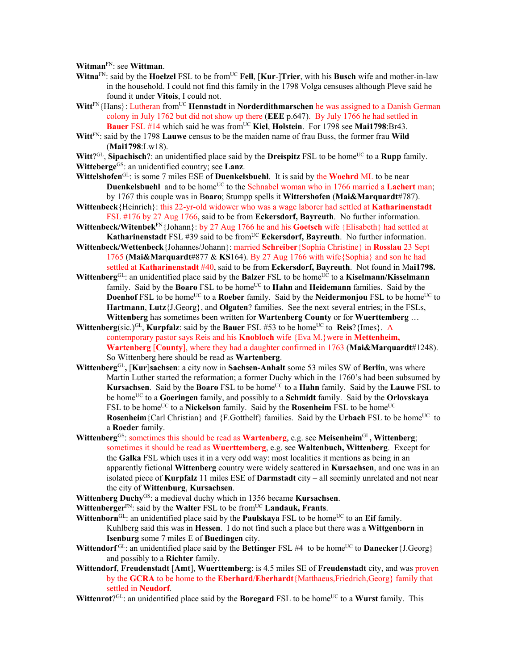**Witman**FN: see **Wittman**.

- **Witna**<sup>FN</sup>: said by the **Hoelzel** FSL to be from<sup>UC</sup> **Fell**, [**Kur-**]Trier, with his **Busch** wife and mother-in-law in the household. I could not find this family in the 1798 Volga censuses although Pleve said he found it under **Vitois**, I could not.
- **Witt**FN{Hans}: Lutheran fromUC **Hennstadt** in **Norderdithmarschen** he was assigned to a Danish German colony in July 1762 but did not show up there (**EEE** p.647). By July 1766 he had settled in **Bauer** FSL #14 which said he was from<sup>UC</sup> Kiel, Holstein. For 1798 see Mai1798:Br43.
- **Witt**FN: said by the 1798 **Lauwe** census to be the maiden name of frau Buss, the former frau **Wild** (**Mai1798**:Lw18).
- **Witt**?<sup>GL</sup>, **Sipachisch**?: an unidentified place said by the **Dreispitz** FSL to be home<sup>UC</sup> to a **Rupp** family. **Witteberge**GS: an unidentified country; see **Lanz**.
- **Wittelshofen**GL: is some 7 miles ESE of **Duenkelsbuehl**. It is said by the **Woehrd** ML to be near **Duenkelsbuehl** and to be home<sup>UC</sup> to the Schnabel woman who in 1766 married a **Lachert** man; by 1767 this couple was in B**oaro**; Stumpp spells it **Wittershofen** (**Mai&Marquardt**#787).
- **Wittenbeck**{Heinrich}: this 22-yr-old widower who was a wage laborer had settled at **Katharinenstadt**  FSL #176 by 27 Aug 1766, said to be from **Eckersdorf, Bayreuth**. No further information.
- **Wittenbeck/Witenbek**FN{Johann}: by 27 Aug 1766 he and his **Goetsch** wife {Elisabeth} had settled at **Katharinenstadt** FSL #39 said to be from<sup>UC</sup> **Eckersdorf, Bayreuth**. No further information.
- **Wittenbeck/Wettenbeck**{Johannes/Johann}: married **Schreiber**{Sophia Christine} in **Rosslau** 23 Sept 1765 (**Mai&Marquardt**#877 & **KS**164). By 27 Aug 1766 with wife{Sophia} and son he had settled at **Katharinenstadt** #40, said to be from **Eckersdorf, Bayreuth**. Not found in M**ai1798.**
- **Wittenberg**<sup>GL</sup>: an unidentified place said by the **Balzer** FSL to be home<sup>UC</sup> to a **Kiselmann/Kisselmann** family. Said by the **Boaro** FSL to be home<sup>UC</sup> to **Hahn** and **Heidemann** families. Said by the **Doenhof** FSL to be home<sup>UC</sup> to a **Roeber** family. Said by the **Neidermonjou** FSL to be home<sup>UC</sup> to **Hartmann**, **Lutz**{J.Georg}, and **Olgaten**? families. See the next several entries; in the FSLs, **Wittenberg** has sometimes been written for **Wartenberg County** or for **Wuerttemberg** …
- **Wittenberg**(sic.)<sup>GL</sup>, **Kurpfalz**: said by the **Bauer** FSL #53 to be home<sup>UC</sup> to **Reis**?{Imes}. A contemporary pastor says Reis and his **Knobloch** wife {Eva M.}were in **Mettenheim, Wartenberg** [**County**], where they had a daughter confirmed in 1763 (**Mai&Marquardt**#1248). So Wittenberg here should be read as **Wartenberg**.
- **Wittenberg**GL**,** [**Kur**]**sachsen**: a city now in **Sachsen-Anhalt** some 53 miles SW of **Berlin**, was where Martin Luther started the reformation; a former Duchy which in the 1760's had been subsumed by **Kursachsen.** Said by the **Boaro** FSL to be home<sup>UC</sup> to a **Hahn** family. Said by the **Lauwe** FSL to be homeUC to a **Goeringen** family, and possibly to a **Schmidt** family. Said by the **Orlovskaya** FSL to be home<sup>UC</sup> to a **Nickelson** family. Said by the **Rosenheim** FSL to be home<sup>UC</sup> **Rosenheim** {Carl Christian} and {F.Gotthelf} families. Said by the **Urbach** FSL to be home<sup>UC</sup> to a **Roeder** family.
- **Wittenberg**GS: sometimes this should be read as **Wartenberg**, e.g. see **Meisenheim**GL**, Wittenberg**; sometimes it should be read as **Wuerttemberg**, e.g. see **Waltenbuch, Wittenberg**. Except for the **Galka** FSL which uses it in a very odd way: most localities it mentions as being in an apparently fictional **Wittenberg** country were widely scattered in **Kursachsen**, and one was in an isolated piece of **Kurpfalz** 11 miles ESE of **Darmstadt** city – all seeminly unrelated and not near the city of **Wittenburg**, **Kursachsen**.
- **Wittenberg Duchy**GS: a medieval duchy which in 1356 became **Kursachsen**.
- **Wittenberger**<sup>FN</sup>: said by the **Walter** FSL to be from<sup>UC</sup> **Landauk, Frants**.
- **Wittenborn**<sup>GL:</sup> an unidentified place said by the **Paulskaya** FSL to be home<sup>UC</sup> to an **Eif** family. Kuhlberg said this was in **Hessen**. I do not find such a place but there was a **Wittgenborn** in **Isenburg** some 7 miles E of **Buedingen** city.
- **Wittendorf** GL: an unidentified place said by the **Bettinger** FSL #4 to be home<sup>UC</sup> to **Danecker** {J.Georg} and possibly to a **Richter** family.
- **Wittendorf**, **Freudenstadt** [**Amt**], **Wuerttemberg**: is 4.5 miles SE of **Freudenstadt** city, and was proven by the **GCRA** to be home to the **Eberhard**/**Eberhardt**{Matthaeus,Friedrich,Georg} family that settled in **Neudorf**.
- **Wittenrot**?<sup>GL</sup>: an unidentified place said by the **Boregard** FSL to be home<sup>UC</sup> to a **Wurst** family. This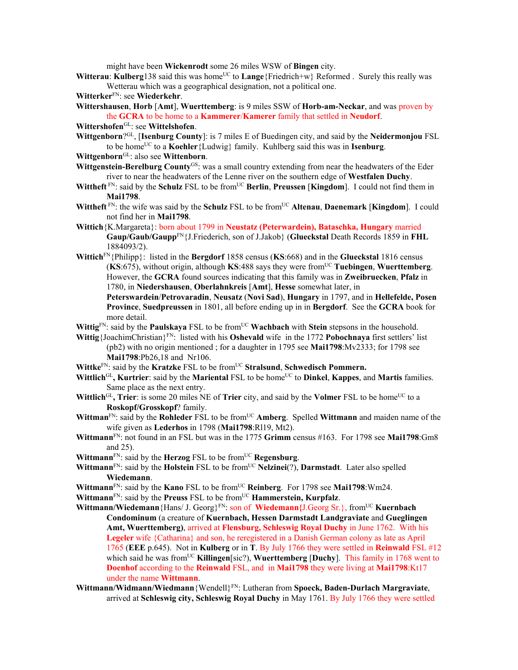might have been **Wickenrodt** some 26 miles WSW of **Bingen** city.

- **Witterau: Kulberg138** said this was home<sup>UC</sup> to **Lange**{Friedrich+w} Reformed . Surely this really was Wetterau which was a geographical designation, not a political one.
- **Witterker**FN: see **Wiederkehr**.
- **Wittershausen**, **Horb** [**Amt**], **Wuerttemberg**: is 9 miles SSW of **Horb-am-Neckar**, and was proven by the **GCRA** to be home to a **Kammerer**/**Kamerer** family that settled in **Neudorf**.
- **Wittershofen**GL: see **Wittelshofen**.
- **Wittgenborn**?GL, [**Isenburg County**]: is 7 miles E of Buedingen city, and said by the **Neidermonjou** FSL to be homeUC to a **Koehler**{Ludwig} family. Kuhlberg said this was in **Isenburg**.
- **Wittgenborn**GL: also see **Wittenborn**.
- Wittgenstein-Berelburg County<sup>GS</sup>: was a small country extending from near the headwaters of the Eder river to near the headwaters of the Lenne river on the southern edge of **Westfalen Duchy**.
- **Wittheft** FN: said by the **Schulz** FSL to be from<sup>UC</sup> **Berlin**, **Preussen** [**Kingdom**]. I could not find them in **Mai1798**.
- **Wittheft** FN: the wife was said by the **Schulz** FSL to be from<sup>UC</sup> Altenau, Daenemark [Kingdom]. I could not find her in **Mai1798**.
- **Wittich**{K.Margareta}: born about 1799 in **Neustatz (Peterwardein), Bataschka, Hungary** married **Gaup/Gaub/Gaupp**FN{J.Friederich, son of J.Jakob} (**Glueckstal** Death Records 1859 in **FHL** 1884093/2).
- **Wittich**FN{Philipp}: listed in the **Bergdorf** 1858 census (**KS**:668) and in the **Glueckstal** 1816 census (**KS**:675), without origin, although **KS**:488 says they were fromUC **Tuebingen**, **Wuerttemberg**. However, the **GCRA** found sources indicating that this family was in **Zweibruecken**, **Pfalz** in 1780, in **Niedershausen**, **Oberlahnkreis** [**Amt**], **Hesse** somewhat later, in
	- **Peterswardein**/**Petrovaradin**, **Neusatz** (**Novi Sad**), **Hungary** in 1797, and in **Hellefelde, Posen Province**, **Suedpreussen** in 1801, all before ending up in in **Bergdorf**. See the **GCRA** book for more detail.

**Wittig**<sup>FN</sup>: said by the **Paulskaya** FSL to be from<sup>UC</sup> **Wachbach** with **Stein** stepsons in the household.

- **Wittig**{JoachimChristian}FN: listed with his **Oshevald** wife in the 1772 **Pobochnaya** first settlers' list (pb2) with no origin mentioned ; for a daughter in 1795 see **Mai1798**:Mv2333; for 1798 see **Mai1798**:Pb26,18 and Nr106.
- **Wittke**<sup>FN</sup>: said by the **Kratzke** FSL to be from<sup>UC</sup> **Stralsund**, **Schwedisch Pommern.**
- **Wittlich<sup>GL</sup>, Kurtrier**: said by the **Mariental** FSL to be home<sup>UC</sup> to **Dinkel**, **Kappes**, and **Martis** families. Same place as the next entry.
- **Wittlich**<sup>GL</sup>, Trier: is some 20 miles NE of Trier city, and said by the **Volmer** FSL to be home<sup>UC</sup> to a **Roskopf/Grosskopf**? family.
- **Wittman**<sup>FN</sup>: said by the **Rohleder** FSL to be from<sup>UC</sup> **Amberg**. Spelled **Wittmann** and maiden name of the wife given as **Lederhos** in 1798 (**Mai1798**:Rl19, Mt2).
- **Wittmann**FN: not found in an FSL but was in the 1775 **Grimm** census #163. For 1798 see **Mai1798**:Gm8 and 25).
- **Wittmann**<sup>FN</sup>: said by the **Herzog** FSL to be from<sup>UC</sup> **Regensburg**.
- Wittmann<sup>FN</sup>: said by the **Holstein** FSL to be from<sup>UC</sup> **Nelzinei**(?), **Darmstadt**. Later also spelled **Wiedemann**.
- **Wittmann**<sup>FN</sup>: said by the **Kano** FSL to be from<sup>UC</sup> **Reinberg**. For 1798 see **Mai1798**:Wm24.
- **Wittmann**<sup>FN</sup>: said by the **Preuss** FSL to be from<sup>UC</sup> **Hammerstein, Kurpfalz**.
- **Wittmann/Wiedemann** {Hans/ J. Georg}<sup>FN</sup>: son of **Wiedemann** {J. Georg Sr.}, from<sup>UC</sup> **Kuernbach Condominum** (a creature of **Kuernbach, Hessen Darmstadt Landgraviate** and **Gueglingen Amt, Wuerttemberg)**, arrived at **Flensburg, Schleswig Royal Duchy** in June 1762. With his **Legeler** wife {Catharina} and son, he reregistered in a Danish German colony as late as April 1765 (**EEE** p.645). Not in **Kulberg** or in **T**. By July 1766 they were settled in **Reinwald** FSL #12 which said he was from<sup>UC</sup> **Killingen**[sic?), **Wuerttemberg** [Duchy]. This family in 1768 went to **Doenhof** according to the **Reinwald** FSL, and in **Mai1798** they were living at **Mai1798**:Kt17 under the name **Wittmann**.
- **Wittmann/Widmann/Wiedmann**{Wendell}FN: Lutheran from **Spoeck, Baden-Durlach Margraviate**, arrived at **Schleswig city, Schleswig Royal Duchy** in May 1761. By July 1766 they were settled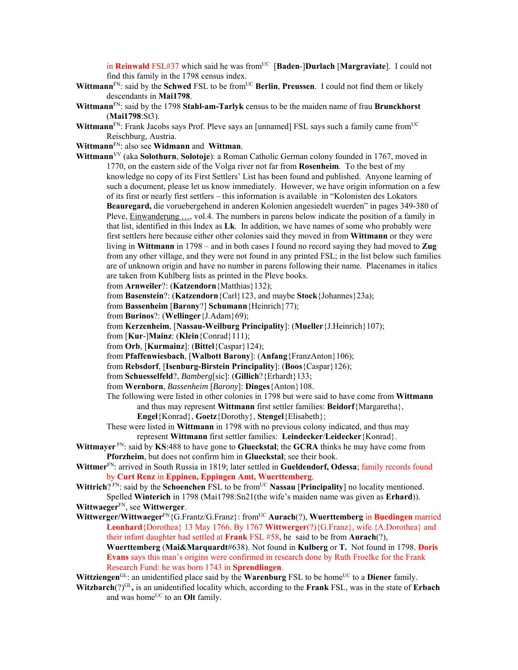in **Reinwald** FSL#37 which said he was from<sup>UC</sup> [Baden-]Durlach [Margraviate]. I could not find this family in the 1798 census index.

- **Wittmann**<sup>FN</sup>: said by the **Schwed** FSL to be from<sup>UC</sup> **Berlin**, **Preussen**. I could not find them or likely descendants in **Mai1798**.
- **Wittmann**FN: said by the 1798 **Stahl-am-Tarlyk** census to be the maiden name of frau **Brunckhorst**  (**Mai1798**:St3).
- Wittmann<sup>FN</sup>: Frank Jacobs says Prof. Pleve says an [unnamed] FSL says such a family came from<sup>UC</sup> Reischburg, Austria.
- **Wittmann**FN: also see **Widmann** and **Wittman**.
- **Wittmann**VV (aka **Solothurn**, **Solotoje**): a Roman Catholic German colony founded in 1767, moved in 1770, on the eastern side of the Volga river not far from **Rosenheim**. To the best of my knowledge no copy of its First Settlers' List has been found and published. Anyone learning of such a document, please let us know immediately. However, we have origin information on a few of its first or nearly first settlers – this information is available in "Kolonisten des Lokators **Beauregard,** die voruebergehend in anderen Kolonien angesiedelt wuerden" in pages 349-380 of Pleve, Einwanderung …, vol.4. The numbers in parens below indicate the position of a family in that list, identified in this Index as **Lk**. In addition, we have names of some who probably were first settlers here because either other colonies said they moved in from **Wittmann** or they were living in **Wittmann** in 1798 – and in both cases I found no record saying they had moved to **Zug** from any other village, and they were not found in any printed FSL; in the list below such families are of unknown origin and have no number in parens following their name. Placenames in italics are taken from Kuhlberg lists as printed in the Pleve books.
	- from **Arnweiler**?: (**Katzendorn**{Matthias}132);
	- from **Basenstein**?: (**Katzendorn**{Carl}123, and maybe **Stock**{Johannes}23a);
	- from **Bassenheim** [**Barony**?] **Schumann**{Heinrich}77);
	- from **Burinos**?: (**Wellinger**{J.Adam}69);
	- from **Kerzenheim**, [**Nassau-Weilburg Principality**]: (**Mueller**{J.Heinrich}107);
	- from [**Kur**-]**Mainz**: (**Klein**{Conrad}111);
	- from **Orb**, [**Kurmainz**]: (**Bittel**{Caspar}124);
	- from **Pfaffenwiesbach**, [**Walbott Barony**]: (**Anfang**{FranzAnton}106);
	- from **Rebsdorf**, [**Isenburg-Birstein Principality**]: (**Boos**{Caspar}126);
	- from **Schuesselfeld**?, *Bamberg*[sic]: (**Gillich**?{Erhardt}133;
	- from **Wernborn**, *Bassenheim* [*Barony*]: **Dinges**{Anton}108.
	- The following were listed in other colonies in 1798 but were said to have come from **Wittmann** and thus may represent **Wittmann** first settler families: **Beidorf**{Margaretha},
		- **Engel**{Konrad}, **Goetz**{Dorothy}, **Stengel**{Elisabeth};
	- These were listed in **Wittmann** in 1798 with no previous colony indicated, and thus may represent **Wittmann** first settler families: **Leindecker**/**Leidecker**{Konrad}.
- **Wittmayer** FN: said by **KS**:488 to have gone to **Glueckstal**; the **GCRA** thinks he may have come from **Pforzheim**, but does not confirm him in **Glueckstal**; see their book.
- **Wittmer**FN: arrived in South Russia in 1819; later settled in **Gueldendorf, Odessa**; family records found by **Curt Renz** in **Eppinen, Eppingen Amt, Wuerttemberg**.
- **Wittrich**? FN: said by the **Schoenchen** FSL to be from<sup>UC</sup> **Nassau** [**Principality**] no locality mentioned. Spelled **Winterich** in 1798 (Mai1798:Sn21(the wife's maiden name was given as **Erhard**)).
- **Wittwaeger**FN, see **Wittwerger**.
- **Wittwerger/Wittwaeger**FN{G.Frantz/G.Franz}: fromUC **Aurach**(?), **Wuerttemberg** in **Buedingen** married **Leonhard**{Dorothea} 13 May 1766. By 1767 **Wittwerger**(?){G.Franz}, wife.{A.Dorothea} and their infant daughter had settled at **Frank** FSL #58, he said to be from **Aurach**(?),
	- **Wuerttemberg** (**Mai&Marquardt**#638). Not found in **Kulberg** or **T.** Not found in 1798. **Doris Evans** says this man's origins were confirmed in research done by Ruth Froelke for the Frank Research Fund: he was born 1743 in **Sprendlingen**.
- **Wittziengen**<sup>GL</sup>: an unidentified place said by the **Warenburg** FSL to be home<sup>UC</sup> to a **Diener** family.
- **Witzbarch**( $?$ )<sup>GL</sup>, is an unidentified locality which, according to the **Frank** FSL, was in the state of **Erbach** and was home<sup>UC</sup> to an **Olt** family.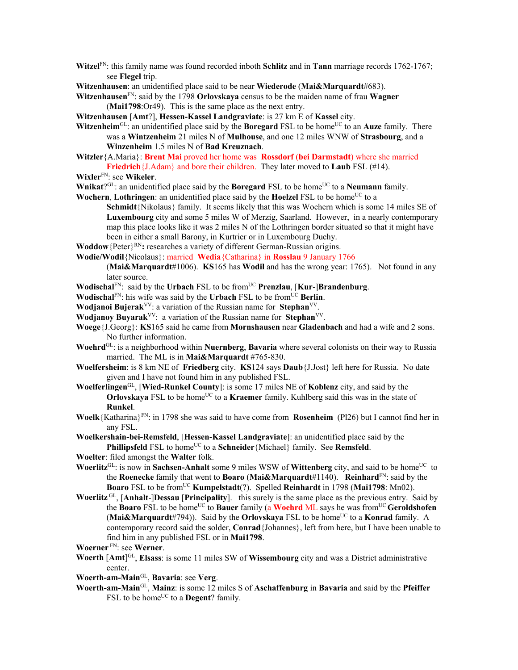- **Witzel**FN: this family name was found recorded inboth **Schlitz** and in **Tann** marriage records 1762-1767; see **Flegel** trip.
- **Witzenhausen**: an unidentified place said to be near **Wiederode** (**Mai&Marquardt**#683).
- **Witzenhausen**FN: said by the 1798 **Orlovskaya** census to be the maiden name of frau **Wagner** (**Mai1798**:Or49). This is the same place as the next entry.
- **Witzenhausen** [**Amt**?], **Hessen-Kassel Landgraviate**: is 27 km E of **Kassel** city.
- **Witzenheim**<sup>GL</sup>: an unidentified place said by the **Boregard** FSL to be home<sup>UC</sup> to an **Auze** family. There was a **Wintzenheim** 21 miles N of **Mulhouse**, and one 12 miles WNW of **Strasbourg**, and a **Winzenheim** 1.5 miles N of **Bad Kreuznach**.
- **Witzler**{A.Maria}: **Brent Mai** proved her home was **Rossdorf** (**bei Darmstadt**) where she married **Friedrich**{J.Adam} and bore their children. They later moved to **Laub** FSL (#14).
- **Wixler**FN: see **Wikeler**.
- **Wnikat**?<sup>GL</sup>: an unidentified place said by the **Boregard** FSL to be home<sup>UC</sup> to a **Neumann** family.
- **Wochern, Lothringen:** an unidentified place said by the **Hoelzel** FSL to be home<sup>UC</sup> to a
	- **Schmidt**{Nikolaus} family. It seems likely that this was Wochern which is some 14 miles SE of **Luxembourg** city and some 5 miles W of Merzig, Saarland. However, in a nearly contemporary map this place looks like it was 2 miles N of the Lothringen border situated so that it might have been in either a small Barony, in Kurtrier or in Luxembourg Duchy.
- **Woddow** {Peter}<sup>RN</sup>: researches a variety of different German-Russian origins.
- **Wodie/Wodil**{Nicolaus}: married **Wedia**{Catharina} in **Rosslau** 9 January 1766

(**Mai&Marquardt**#1006). **KS**165 has **Wodil** and has the wrong year: 1765). Not found in any later source.

- **Wodischal**FN: said by the **Urbach** FSL to be from<sup>UC</sup> **Prenzlau**, [Kur-]Brandenburg.
- **Wodischal**<sup>FN</sup>: his wife was said by the **Urbach** FSL to be from  $\overline{UC}$  **Berlin**.
- **Wodjanoi Bujerak**<sup>VV</sup>: a variation of the Russian name for **Stephan**<sup>VV</sup>.
- **Wodjanoy Buyarak**VV: a variation of the Russian name for **Stephan**VV.
- **Woege**{J.Georg}: **KS**165 said he came from **Mornshausen** near **Gladenbach** and had a wife and 2 sons. No further information.
- **Woehrd**GL: is a neighborhood within **Nuernberg**, **Bavaria** where several colonists on their way to Russia married. The ML is in **Mai&Marquardt** #765-830.
- **Woelfersheim**: is 8 km NE of **Friedberg** city. **KS**124 says **Daub**{J.Jost} left here for Russia. No date given and I have not found him in any published FSL.
- **Woelferlingen**GL, [**Wied-Runkel County**]: is some 17 miles NE of **Koblenz** city, and said by the **Orlovskaya** FSL to be home<sup>UC</sup> to a **Kraemer** family. Kuhlberg said this was in the state of **Runkel**.
- **Woelk**{Katharina}FN: in 1798 she was said to have come from **Rosenheim** (Pl26) but I cannot find her in any FSL.
- **Woelkershain-bei-Remsfeld**, [**Hessen**-**Kassel Landgraviate**]: an unidentified place said by the **Phillipsfeld** FSL to home<sup>UC</sup> to a **Schneider** {Michael} family. See **Remsfeld**.
- **Woelter**: filed amongst the **Walter** folk.
- **Woerlitz**<sup>GL</sup>: is now in **Sachsen-Anhalt** some 9 miles WSW of **Wittenberg** city, and said to be home<sup>UC</sup> to the **Roenecke** family that went to **Boaro** (**Mai&Marquardt**#1140). **Reinhard**FN: said by the **Boaro** FSL to be fromUC **Kumpelstadt**(?). Spelled **Reinhardt** in 1798 (**Mai1798**: Mn02).
- **Woerlitz** GL, [**Anhalt**-]**Dessau** [**Principality**]. this surely is the same place as the previous entry. Said by the **Boaro** FSL to be homeUC to **Bauer** family (a **Woehrd** ML says he was fromUC **Geroldshofen (Mai&Marquardt**#794)). Said by the **Orlovskaya** FSL to be home<sup>UC</sup> to a **Konrad** family. A contemporary record said the solder, **Conrad**{Johannes}, left from here, but I have been unable to find him in any published FSL or in **Mai1798**.
- **Woerner** FN: see **Werner**.
- **Woerth** [**Amt**] GL, **Elsass**: is some 11 miles SW of **Wissembourg** city and was a District administrative center.
- **Woerth-am-Main**GL, **Bavaria**: see **Verg**.
- **Woerth-am-Main**GL, **Mainz**: is some 12 miles S of **Aschaffenburg** in **Bavaria** and said by the **Pfeiffer** FSL to be home<sup>UC</sup> to a **Degent**? family.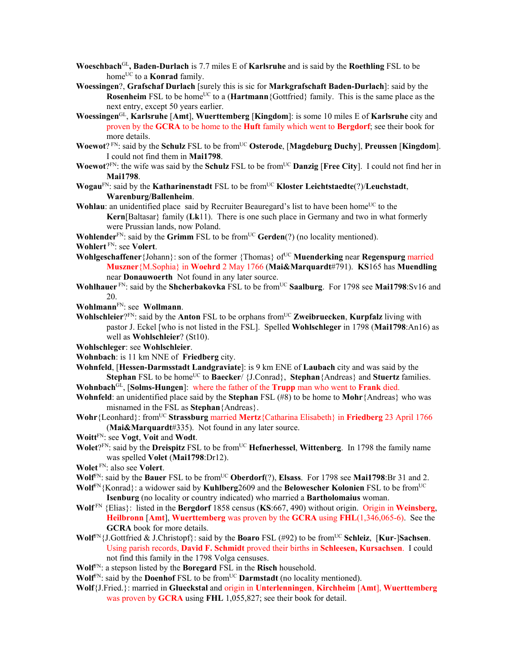- **Woeschbach**GL**, Baden-Durlach** is 7.7 miles E of **Karlsruhe** and is said by the **Roethling** FSL to be home<sup>UC</sup> to a **Konrad** family.
- **Woessingen**?, **Grafschaf Durlach** [surely this is sic for **Markgrafschaft Baden-Durlach**]: said by the **Rosenheim** FSL to be home<sup>UC</sup> to a (**Hartmann**{Gottfried} family. This is the same place as the next entry, except 50 years earlier.
- **Woessingen**GL, **Karlsruhe** [**Amt**], **Wuerttemberg** [**Kingdom**]: is some 10 miles E of **Karlsruhe** city and proven by the **GCRA** to be home to the **Huft** family which went to **Bergdorf**; see their book for more details.
- **Woewot**? FN: said by the **Schulz** FSL to be from<sup>UC</sup> Osterode, [Magdeburg Duchy], Preussen [Kingdom]. I could not find them in **Mai1798**.
- **Woewot**?FN: the wife was said by the **Schulz** FSL to be from<sup>UC</sup> **Danzig** [Free City]. I could not find her in **Mai1798**.
- **Wogau<sup>FN</sup>: said by the Katharinenstadt** FSL to be from<sup>UC</sup> **Kloster Leichtstaedte**(?)/**Leuchstadt**, **Warenburg/Ballenheim**.
- **Wohlau**: an unidentified place said by Recruiter Beauregard's list to have been home<sup>UC</sup> to the **Kern**[Baltasar} family (**Lk**11). There is one such place in Germany and two in what formerly were Prussian lands, now Poland.
- **Wohlender**<sup>FN</sup>: said by the **Grimm** FSL to be from<sup>UC</sup> **Gerden**(?) (no locality mentioned).

**Wohlert** FN: see **Volert**.

- **Wohlgeschaffener**{Johann}: son of the former {Thomas} of<sup>UC</sup> **Muenderking** near **Regenspurg married Muszner**{M.Sophia} in **Woehrd** 2 May 1766 (**Mai&Marquardt**#791). **KS**165 has **Muendling**  near **Donauwoerth** Not found in any later source.
- Wohlhauer<sup>FN</sup>: said by the **Shcherbakovka** FSL to be from<sup>UC</sup> **Saalburg**. For 1798 see Mai1798:Sv16 and 20.
- **Wohlmann**FN: see **Wollmann**.
- **Wohlschleier**?<sup>FN</sup>: said by the **Anton** FSL to be orphans from<sup>UC</sup> **Zweibruecken**, **Kurpfalz** living with pastor J. Eckel [who is not listed in the FSL]. Spelled **Wohlschleger** in 1798 (**Mai1798**:An16) as well as **Wohlschleier**? (St10).
- **Wohlschleger**: see **Wohlschleier**.
- **Wohnbach**: is 11 km NNE of **Friedberg** city.
- **Wohnfeld**, [**Hessen-Darmsstadt Landgraviate**]: is 9 km ENE of **Laubach** city and was said by the **Stephan** FSL to be home<sup>UC</sup> to **Baecker**/ {J.Conrad}, **Stephan**{Andreas} and **Stuertz** families.
- **Wohnbach**GL, [**Solms-Hungen**]: where the father of the **Trupp** man who went to **Frank** died.
- **Wohnfeld**: an unidentified place said by the **Stephan** FSL (#8) to be home to **Mohr**{Andreas} who was misnamed in the FSL as **Stephan**{Andreas}.
- **Wohr**{Leonhard}: from<sup>UC</sup> **Strassburg** married **Mertz**{Catharina Elisabeth} in **Friedberg** 23 April 1766 (**Mai&Marquardt**#335). Not found in any later source.
- **Woitt**FN: see **Vogt**, **Voit** and **Wodt**.
- **Wolet**?<sup>FN</sup>: said by the **Dreispitz** FSL to be from<sup>UC</sup> **Hefnerhessel**, **Wittenberg**. In 1798 the family name was spelled **Volet** (**Mai1798**:Dr12).
- **Wolet** FN: also see **Volert**.
- **Wolf**<sup>FN</sup>: said by the **Bauer** FSL to be from<sup>UC</sup> **Oberdorf**(?), **Elsass**. For 1798 see **Mai1798**:Br 31 and 2.
- **Wolf**FN{Konrad}: a widower said by **Kuhlberg**2609 and the **Belowescher Kolonien** FSL to be fromUC **Isenburg** (no locality or country indicated) who married a **Bartholomaius** woman.
- **Wolf** FN {Elias}: listed in the **Bergdorf** 1858 census (**KS**:667, 490) without origin. Origin in **Weinsberg**, **Heilbronn** [**Amt**], **Wuerttemberg** was proven by the **GCRA** using **FHL**(1,346,065-6). See the **GCRA** book for more details.
- **Wolf**FN{J.Gottfried & J.Christopf}: said by the **Boaro** FSL (#92) to be fromUC **Schleiz**, [**Kur**-]**Sachsen**. Using parish records, **David F. Schmidt** proved their births in **Schleesen, Kursachsen**. I could not find this family in the 1798 Volga censuses.
- **Wolf**FN: a stepson listed by the **Boregard** FSL in the **Risch** household.
- **Wolf**<sup>FN</sup>: said by the **Doenhof** FSL to be from<sup>UC</sup> **Darmstadt** (no locality mentioned).
- **Wolf**{J.Fried.}: married in **Glueckstal** and origin in **Unterlenningen**, **Kirchheim** [**Amt**], **Wuerttemberg** was proven by **GCRA** using **FHL** 1,055,827; see their book for detail.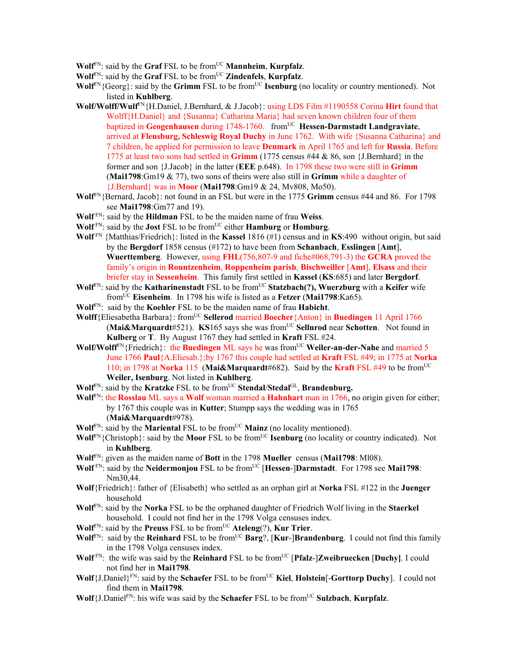$W$ olf<sup>FN</sup>: said by the **Graf** FSL to be from<sup>UC</sup> **Mannheim**, **Kurpfalz**.

**Wolf**FN: said by the **Graf** FSL to be fromUC **Zindenfels**, **Kurpfalz**.

- $W\text{off}^{\text{FN}}$ {Georg}: said by the **Grimm** FSL to be from<sup>UC</sup> **Isenburg** (no locality or country mentioned). Not listed in **Kuhlberg**.
- **Wolf/Wolff/Wulf**FN{H.Daniel, J.Bernhard, & J.Jacob}: using LDS Film #1190558 Corina **Hirt** found that Wolff{H.Daniel} and {Susanna} Catharina Maria} had seven known children four of them baptized in Geogenhausen during 1748-1760. from<sup>UC</sup> Hessen-Darmstadt Landgraviate, arrived at **Flensburg, Schleswig Royal Duchy** in June 1762. With wife {Susanna Catharina} and 7 children, he applied for permission to leave **Denmark** in April 1765 and left for **Russia**. Before 1775 at least two sons had settled in **Grimm** (1775 census #44 & 86, son {J.Bernhard} in the former and son {J.Jacob} in the latter (**EEE** p.648). In 1798 these two were still in **Grimm** (**Mai1798**:Gm19 & 77), two sons of theirs were also still in **Grimm** while a daughter of {J.Bernhard} was in **Moor** (**Mai1798**:Gm19 & 24, Mv808, Mo50).
- **Wolf**FN{Bernard, Jacob}: not found in an FSL but were in the 1775 **Grimm** census #44 and 86. For 1798 see **Mai1798**:Gm77 and 19).
- **Wolf** FN: said by the **Hildman** FSL to be the maiden name of frau **Weiss**.
- **Wolf** FN: said by the **Jost** FSL to be fromUC either **Hamburg** or **Homburg**.
- **Wolf** FN {Matthias/Friedrich}: listed in the **Kassel** 1816 (#1) census and in **KS**:490 without origin, but said by the **Bergdorf** 1858 census (#172) to have been from **Schanbach**, **Esslingen** [**Amt**], **Wuerttemberg**. However, using **FHL**(756,807-9 and fiche#068,791-3) the **GCRA** proved the family's origin in **Rountzenheim**, **Roppenheim parish**, **Bischweiller** [**Amt**], **Elsass** and their briefer stay in **Sessenheim**. This family first settled in **Kassel** (**KS**:685) and later **Bergdorf**.
- **Wolf**FN: said by the **Katharinenstadt** FSL to be fromUC **Statzbach(?), Wuerzburg** with a **Keifer** wife fromUC **Eisenheim**. In 1798 his wife is listed as a **Fetzer** (**Mai1798**:Ka65).
- **Wolf**FN: said by the **Koehler** FSL to be the maiden name of frau **Habicht**.
- Wolff<sup>{Eliesabetha Barbara}: from<sup>UC</sup> Sellerod married **Boecher**{Anton} in **Buedingen** 11 April 1766</sup> (**Mai&Marquardt**#521). **KS**165 says she was fromUC **Sellnrod** near **Schotten**. Not found in **Kulberg** or **T**. By August 1767 they had settled in **Kraft** FSL #24.
- **Wolf/Wolff<sup>FN</sup>{Friedrich}: the Buedingen ML says he was from<sup>UC</sup> Weiler-an-der-Nahe and married 5** June 1766 **Paul**{A.Eliesab.};by 1767 this couple had settled at **Kraft** FSL #49; in 1775 at **Norka**  110; in 1798 at **Norka** 115 (**Mai&Marquardt**#682). Said by the **Kraft** FSL #49 to be fromUC **Weiler, Isenburg**. Not listed in **Kuhlberg**.
- **Wolf<sup>FN</sup>: said by the Kratzke FSL to be from<sup>UC</sup> Stendal/Stedal<sup>GL</sup>, Brandenburg.**
- **Wolf**FN: the **Rosslau** ML says a **Wolf** woman married a **Hahnhart** man in 1766, no origin given for either; by 1767 this couple was in **Kutter**; Stumpp says the wedding was in 1765 (**Mai&Marquardt**#978).
- **Wolf**<sup>FN</sup>: said by the **Mariental** FSL to be from<sup>UC</sup> **Mainz** (no locality mentioned).
- **Wolf**<sup>FN</sup>{Christoph}: said by the **Moor** FSL to be from<sup>UC</sup> **Isenburg** (no locality or country indicated). Not in **Kuhlberg**.
- **Wolf**FN: given as the maiden name of **Bott** in the 1798 **Mueller** census (**Mai1798**: Ml08).
- **Wolf** FN: said by the **Neidermonjou** FSL to be from<sup>UC</sup> [Hessen-]Darmstadt. For 1798 see Mai1798: Nm30,44.
- **Wolf**{Friedrich}: father of {Elisabeth} who settled as an orphan girl at **Norka** FSL #122 in the **Juenger**  household
- **Wolf**FN: said by the **Norka** FSL to be the orphaned daughter of Friedrich Wolf living in the **Staerkel** household. I could not find her in the 1798 Volga censuses index.
- **Wolf**<sup>FN</sup>: said by the **Preuss** FSL to be from<sup>UC</sup> **Ateleng** $(?)$ , **Kur Trier**.
- **Wolf**<sup>FN</sup>: said by the **Reinhard** FSL to be from<sup>UC</sup> **Barg**?, [**Kur-**]Brandenburg. I could not find this family in the 1798 Volga censuses index.
- Wolf<sup>FN</sup>: the wife was said by the **Reinhard** FSL to be from<sup>UC</sup> [Pfalz-]Zweibruecken [Duchy]. I could not find her in **Mai1798**.
- **Wolf**{J.Daniel}<sup>FN</sup>: said by the **Schaefer** FSL to be from<sup>UC</sup> **Kiel**, **Holstein**[-**Gorttorp Duchy**]. I could not find them in **Mai1798**.
- **Wolf**{J.DanielFN: his wife was said by the **Schaefer** FSL to be fromUC **Sulzbach**, **Kurpfalz**.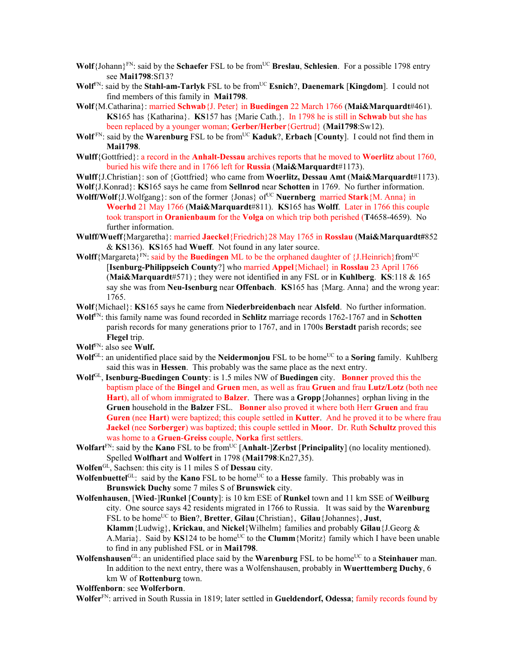- **Wolf**{Johann}<sup>FN</sup>: said by the **Schaefer** FSL to be from<sup>UC</sup> **Breslau**, **Schlesien**. For a possible 1798 entry see **Mai1798**:Sf13?
- **Wolf**FN: said by the **Stahl-am-Tarlyk** FSL to be fromUC **Esnich**?, **Daenemark** [**Kingdom**]. I could not find members of this family in **Mai1798**.
- **Wolf**{M.Catharina}: married **Schwab**{J. Peter} in **Buedingen** 22 March 1766 (**Mai&Marquardt**#461). **KS**165 has {Katharina}. **KS**157 has {Marie Cath.}. In 1798 he is still in **Schwab** but she has been replaced by a younger woman; **Gerber/Herber**{Gertrud} (**Mai1798**:Sw12).
- **Wolf** FN: said by the **Warenburg** FSL to be fromUC **Kaduk**?, **Erbach** [**County**]. I could not find them in **Mai1798**.
- **Wulff**{Gottfried}: a record in the **Anhalt-Dessau** archives reports that he moved to **Woerlitz** about 1760, buried his wife there and in 1766 left for **Russia** (**Mai&Marquardt**#1173).
- **Wulff**{J.Christian}: son of {Gottfried} who came from **Woerlitz, Dessau Amt** (**Mai&Marquardt**#1173).
- **Wolf**{J.Konrad}: **KS**165 says he came from **Sellnrod** near **Schotten** in 1769. No further information.
- **Wolff/Wolf**{J.Wolfgang}: son of the former {Jonas} of<sup>UC</sup> **Nuernberg** married **Stark**{M. Anna} in **Woerhd** 21 May 1766 (**Mai&Marquardt**#811). **KS**165 has **Wolff**. Later in 1766 this couple took transport in **Oranienbaum** for the **Volga** on which trip both perished (**T**4658-4659). No further information.
- **Wulff/Wueff**{Margaretha}: married **Jaeckel**{Friedrich}28 May 1765 in **Rosslau** (**Mai&Marquardt#**852 & **KS**136). **KS**165 had **Wueff**. Not found in any later source.
- **Wolff**{Margareta}<sup>FN</sup>: said by the **Buedingen** ML to be the orphaned daughter of {J.Heinrich}from<sup>UC</sup> [**Isenburg-Philippseich County**?] who married **Appel**{Michael} in **Rosslau** 23 April 1766 (**Mai&Marquardt**#571) ; they were not identified in any FSL or in **Kuhlberg**. **KS**:118 & 165 say she was from **Neu-Isenburg** near **Offenbach**. **KS**165 has {Marg. Anna} and the wrong year: 1765.
- **Wolf**{Michael}: **KS**165 says he came from **Niederbreidenbach** near **Alsfeld**. No further information.
- **Wolf**FN: this family name was found recorded in **Schlitz** marriage records 1762-1767 and in **Schotten** parish records for many generations prior to 1767, and in 1700s **Berstadt** parish records; see **Flegel** trip.
- **Wolf**FN: also see **Wulf.**
- **Wolf**<sup>GL</sup>: an unidentified place said by the **Neidermonjou** FSL to be home<sup>UC</sup> to a **Soring** family. Kuhlberg said this was in **Hessen**. This probably was the same place as the next entry.
- **Wolf**GL, **Isenburg-Buedingen County**: is 1.5 miles NW of **Buedingen** city. **Bonner** proved this the baptism place of the **Bingel** and **Gruen** men, as well as frau **Gruen** and frau **Lutz/Lotz** (both nee **Hart**), all of whom immigrated to **Balzer**. There was a **Gropp**{Johannes} orphan living in the **Gruen** household in the **Balzer** FSL. **Bonner** also proved it where both Herr **Gruen** and frau **Guren** (nee **Hart**) were baptized; this couple settled in **Kutter**. And he proved it to be where frau **Jaekel** (nee **Sorberger**) was baptized; this couple settled in **Moor**. Dr. Ruth **Schultz** proved this was home to a **Gruen**-**Greiss** couple, **Norka** first settlers.
- **Wolfart**<sup>FN</sup>: said by the **Kano** FSL to be from<sup>UC</sup> [Anhalt-]Zerbst [Principality] (no locality mentioned). Spelled **Wolfhart** and **Wolfert** in 1798 (**Mai1798**:Kn27,35).
- **Wolfen**GL, Sachsen: this city is 11 miles S of **Dessau** city.
- **Wolfenbuettel**<sup>GL</sup>: said by the **Kano** FSL to be home<sup>UC</sup> to a **Hesse** family. This probably was in **Brunswick Duchy** some 7 miles S of **Brunswick** city.
- **Wolfenhausen**, [**Wied**-]**Runkel** [**County**]: is 10 km ESE of **Runkel** town and 11 km SSE of **Weilburg** city. One source says 42 residents migrated in 1766 to Russia. It was said by the **Warenburg** FSL to be homeUC to **Bien**?, **Bretter**, **Gilau**{Christian}, **Gilau**{Johannes}, **Just**, **Klamm**{Ludwig}, **Krickau**, and **Nickel**{Wilhelm} families and probably **Gilau**{J.Georg &
	- A.Maria}. Said by **KS**124 to be home<sup>UC</sup> to the **Clumm** {Moritz} family which I have been unable to find in any published FSL or in **Mai1798**.
- **Wolfenshausen**<sup>GL</sup>: an unidentified place said by the **Warenburg** FSL to be home<sup>UC</sup> to a **Steinhauer** man. In addition to the next entry, there was a Wolfenshausen, probably in **Wuerttemberg Duchy**, 6 km W of **Rottenburg** town.

**Wolffenborn**: see **Wolferborn**.

**Wolfer**FN: arrived in South Russia in 1819; later settled in **Gueldendorf, Odessa**; family records found by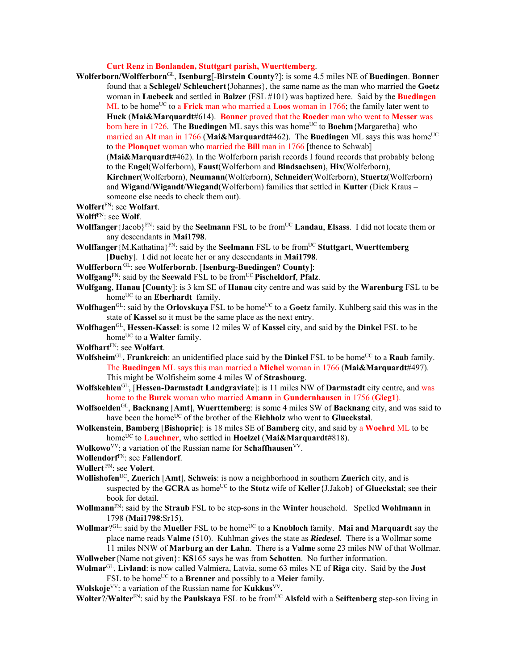**Curt Renz** in **Bonlanden, Stuttgart parish, Wuerttemberg**.

- **Wolferborn/Wolfferborn**GL, **Isenburg**[-**Birstein County**?]: is some 4.5 miles NE of **Buedingen**. **Bonner** found that a **Schlegel/ Schleuchert**{Johannes}, the same name as the man who married the **Goetz** woman in **Luebeck** and settled in **Balzer** (FSL #101) was baptized here. Said by the **Buedingen** ML to be home<sup>UC</sup> to a **Frick** man who married a **Loos** woman in 1766; the family later went to **Huck** (**Mai&Marquardt**#614). **Bonner** proved that the **Roeder** man who went to **Messer** was born here in 1726. The **Buedingen** ML says this was home<sup>UC</sup> to **Boehm** {Margaretha} who married an Alt man in 1766 (Mai&Marquardt#462). The Buedingen ML says this was home<sup>UC</sup> to the **Plonquet** woman who married the **Bill** man in 1766 [thence to Schwab] (**Mai&Marquardt**#462). In the Wolferborn parish records I found records that probably belong to the **Engel**(Wolferborn), **Faust**(Wolferborn and **Bindsachsen**), **Hix**(Wolferborn), **Kirchner**(Wolferborn), **Neumann**(Wolferborn), **Schneider**(Wolferborn), **Stuertz**(Wolferborn) and **Wigand**/**Wigandt**/**Wiegand**(Wolferborn) families that settled in **Kutter** (Dick Kraus – someone else needs to check them out).
- **Wolfert**FN: see **Wolfart**.
- **Wolff**FN: see **Wolf**.
- **Wolffanger** {Jacob}<sup>FN</sup>: said by the **Seelmann** FSL to be from<sup>UC</sup> **Landau**, **Elsass**. I did not locate them or any descendants in **Mai1798**.
- **Wolffanger** {M.Kathatina}<sup>FN</sup>: said by the **Seelmann** FSL to be from<sup>UC</sup> **Stuttgart**, **Wuerttemberg** [**Duchy**]. I did not locate her or any descendants in **Mai1798**.
- **Wolfferborn** GL: see **Wolferbornb**. [**Isenburg-Buedingen**? **County**]:
- **Wolfgang**FN: said by the **Seewald** FSL to be fromUC **Pischeldorf**, **Pfalz**.

**Wolfgang**, **Hanau** [**County**]: is 3 km SE of **Hanau** city centre and was said by the **Warenburg** FSL to be home<sup>UC</sup> to an **Eberhardt** family.

- **Wolfhagen**<sup>GL</sup>: said by the **Orlovskaya** FSL to be home<sup>UC</sup> to a **Goetz** family. Kuhlberg said this was in the state of **Kassel** so it must be the same place as the next entry.
- **Wolfhagen**GL, **Hessen-Kassel**: is some 12 miles W of **Kassel** city, and said by the **Dinkel** FSL to be homeUC to a **Walter** family.
- **Wolfhart**FN: see **Wolfart**.
- **Wolfsheim**<sup>GL</sup>, Frankreich: an unidentified place said by the Dinkel FSL to be home<sup>UC</sup> to a Raab family. The **Buedingen** ML says this man married a **Michel** woman in 1766 (**Mai&Marquardt**#497). This might be Wolfisheim some 4 miles W of **Strasbourg**.
- **Wolfskehlen**GL, [**Hessen-Darmstadt Landgraviate**]: is 11 miles NW of **Darmstadt** city centre, and was home to the **Burck** woman who married **Amann** in **Gundernhausen** in 1756 (**Gieg1**).
- **Wolfsoelden**GL, **Backnang** [**Amt**], **Wuerttemberg**: is some 4 miles SW of **Backnang** city, and was said to have been the home<sup>UC</sup> of the brother of the **Eichholz** who went to **Glueckstal**.
- **Wolkenstein**, **Bamberg** [**Bishopric**]: is 18 miles SE of **Bamberg** city, and said by a **Woehrd** ML to be homeUC to **Lauchner**, who settled in **Hoelzel** (**Mai&Marquardt**#818).
- **Wolkowo**VV: a variation of the Russian name for **Schaffhausen**VV.
- **Wollendorf**FN: see **Fallendorf**.
- **Wollert** FN: see **Volert**.
- **Wollishofen**UC, **Zuerich** [**Amt**], **Schweis**: is now a neighborhood in southern **Zuerich** city, and is suspected by the **GCRA** as home<sup>UC</sup> to the **Stotz** wife of **Keller**{J.Jakob} of **Glueckstal**; see their book for detail.
- **Wollmann**FN: said by the **Straub** FSL to be step-sons in the **Winter** household. Spelled **Wohlmann** in 1798 (**Mai1798**:Sr15).
- **Wollmar**?GL: said by the **Mueller** FSL to be home<sup>UC</sup> to a **Knobloch** family. **Mai and Marquardt** say the place name reads **Valme** (510). Kuhlman gives the state as *Riedesel*. There is a Wollmar some

11 miles NNW of **Marburg an der Lahn**. There is a **Valme** some 23 miles NW of that Wollmar. **Wollweber**{Name not given}: **KS**165 says he was from **Schotten**. No further information.

- **Wolmar**GL, **Livland**: is now called Valmiera, Latvia, some 63 miles NE of **Riga** city. Said by the **Jost** FSL to be home<sup>UC</sup> to a **Brenner** and possibly to a **Meier** family.
- **Wolskoje**VV: a variation of the Russian name for **Kukkus**VV.

**Wolter**?/**Walter**<sup>FN</sup>: said by the **Paulskaya** FSL to be from<sup>UC</sup> Alsfeld with a Seiftenberg step-son living in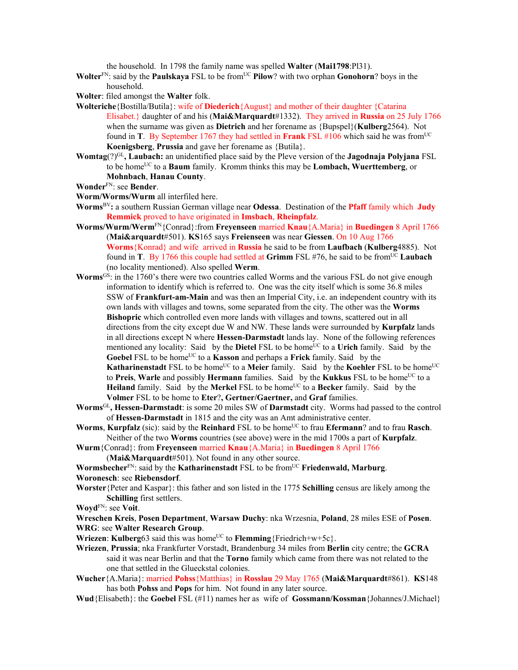the household. In 1798 the family name was spelled **Walter** (**Mai1798**:Pl31).

- **Wolter**<sup>FN</sup>: said by the **Paulskaya** FSL to be from<sup>UC</sup> **Pilow**? with two orphan **Gonohorn**? boys in the household.
- **Wolter**: filed amongst the **Walter** folk.
- **Wolteriche**{Bostilla/Butila}: wife of **Diederich**{August} and mother of their daughter {Catarina Elisabet.} daughter of and his (**Mai&Marquardt**#1332). They arrived in **Russia** on 25 July 1766 when the surname was given as **Dietrich** and her forename as {Bupspel}(**Kulberg**2564). Not found in **T**. By September 1767 they had settled in **Frank** FSL #106 which said he was from<sup>UC</sup> **Koenigsberg**, **Prussia** and gave her forename as {Butila}.
- **Womtag**(?)GL**, Laubach:** an unidentified place said by the Pleve version of the **Jagodnaja Polyjana** FSL to be homeUC to a **Baum** family. Kromm thinks this may be **Lombach, Wuerttemberg**, or **Mohnbach**, **Hanau County**.
- **Wonder**FN: see **Bender**.
- **Worm/Worms/Wurm** all interfiled here.
- **Worms**BV**:** a southern Russian German village near **Odessa**. Destination of the **Pfaff** family which **Judy Remmick** proved to have originated in **Imsbach**, **Rheinpfalz**.
- **Worms/Wurm/Werm**FN{Conrad}:from **Freyenseen** married **Knau**{A.Maria} in **Buedingen** 8 April 1766 (**Mai&arquardt**#501). **KS**165 says **Freienseen** was near **Giessen**. On 10 Aug 1766 **Worms**{Konrad} and wife arrived in **Russia** he said to be from **Laufbach** (**Kulberg**4885). Not found in **T**. By 1766 this couple had settled at **Grimm** FSL #76, he said to be fromUC **Laubach**  (no locality mentioned). Also spelled **Werm**.

**Worms**GS: in the 1760's there were two countries called Worms and the various FSL do not give enough information to identify which is referred to. One was the city itself which is some 36.8 miles SSW of **Frankfurt-am-Main** and was then an Imperial City, i.e. an independent country with its own lands with villages and towns, some separated from the city. The other was the **Worms Bishopric** which controlled even more lands with villages and towns, scattered out in all directions from the city except due W and NW. These lands were surrounded by **Kurpfalz** lands in all directions except N where **Hessen-Darmstadt** lands lay. None of the following references mentioned any locality: Said by the **Dietel** FSL to be home<sup>UC</sup> to a **Urich** family. Said by the Goebel FSL to be home<sup>UC</sup> to a **Kasson** and perhaps a Frick family. Said by the **Katharinenstadt** FSL to be home<sup>UC</sup> to a Meier family. Said by the **Koehler** FSL to be home<sup>UC</sup> to **Preis**, Warle and possibly **Hermann** families. Said by the **Kukkus** FSL to be home<sup>UC</sup> to a **Heiland** family. Said by the **Merkel** FSL to be home<sup>UC</sup> to a **Becker** family. Said by the **Volmer** FSL to be home to **Eter**?**, Gertner/Gaertner,** and **Graf** families.

- **Worms**GL**, Hessen-Darmstadt**: is some 20 miles SW of **Darmstadt** city. Worms had passed to the control of **Hessen-Darmstadt** in 1815 and the city was an Amt administrative center.
- **Worms**, **Kurpfalz** (sic): said by the **Reinhard** FSL to be home<sup>UC</sup> to frau **Efermann**? and to frau **Rasch**. Neither of the two **Worms** countries (see above) were in the mid 1700s a part of **Kurpfalz**.
- **Wurm**{Conrad}: from **Freyenseen** married **Knau**{A.Maria} in **Buedingen** 8 April 1766 (**Mai&Marquardt**#501). Not found in any other source.
- **Wormsbecher**<sup>FN</sup>: said by the **Katharinenstadt** FSL to be from<sup>UC</sup> **Friedenwald, Marburg**. **Woronesch**: see **Riebensdorf**.
- **Worster**{Peter and Kaspar}: this father and son listed in the 1775 **Schilling** census are likely among the **Schilling** first settlers.

**Woyd**FN: see **Voit**.

- **Wreschen Kreis**, **Posen Department**, **Warsaw Duchy**: nka Wrzesnia, **Poland**, 28 miles ESE of **Posen**. **WRG**: see **Walter Research Group**.
- **Wriezen: Kulberg**63 said this was home<sup>UC</sup> to **Flemming** ${Friedrich+w+5c}$ .
- **Wriezen**, **Prussia**; nka Frankfurter Vorstadt, Brandenburg 34 miles from **Berlin** city centre; the **GCRA** said it was near Berlin and that the **Torno** family which came from there was not related to the one that settled in the Glueckstal colonies.
- **Wucher**{A.Maria}: married **Pohss**{Matthias} in **Rosslau** 29 May 1765 (**Mai&Marquardt**#861). **KS**148 has both **Pohss** and **Pops** for him. Not found in any later source.
- **Wud**{Elisabeth}: the **Goebel** FSL (#11) names her as wife of **Gossmann/Kossman**{Johannes/J.Michael}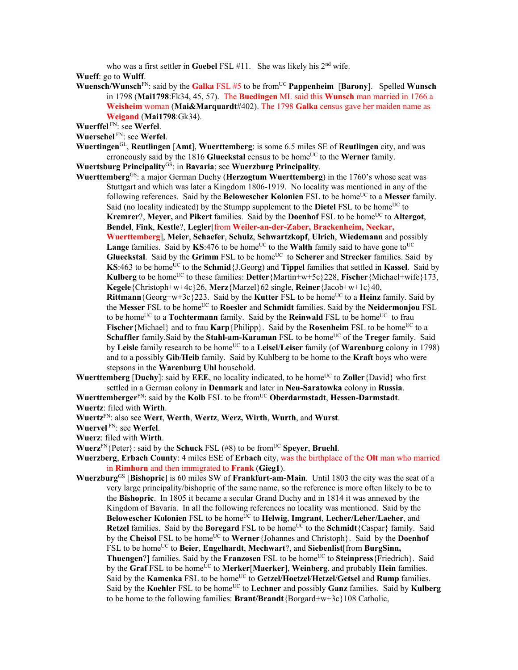who was a first settler in **Goebel** FSL #11. She was likely his 2<sup>nd</sup> wife.

**Wueff**: go to **Wulff**.

**Wuensch/Wunsch**FN: said by the **Galka** FSL #5 to be fromUC **Pappenheim** [**Barony**]. Spelled **Wunsch** in 1798 (**Mai1798**:Fk34, 45, 57). The **Buedingen** ML said this **Wunsch** man married in 1766 a **Weisheim** woman (**Mai&Marquardt**#402). The 1798 **Galka** census gave her maiden name as **Weigand** (**Mai1798**:Gk34).

**Wuerffel** FN: see **Werfel**.

- **Wuerschel** FN: see **Werfel**.
- **Wuertingen**GL, **Reutlingen** [**Amt**], **Wuerttemberg**: is some 6.5 miles SE of **Reutlingen** city, and was erroneously said by the 1816 **Glueckstal** census to be home<sup>UC</sup> to the **Werner** family.

**Wuertsburg Principality**GS: in **Bavaria**; see **Wuerzburg Principality**.

**Wuerttemberg**GS: a major German Duchy (**Herzogtum Wuerttemberg**) in the 1760's whose seat was Stuttgart and which was later a Kingdom 1806-1919. No locality was mentioned in any of the following references. Said by the **Belowescher Kolonien** FSL to be home<sup>UC</sup> to a **Messer** family. Said (no locality indicated) by the Stumpp supplement to the **Dietel** FSL to be home<sup>UC</sup> to **Kremrer**?, **Meyer,** and **Pikert** families. Said by the **Doenhof** FSL to be home<sup>UC</sup> to **Altergot**, **Bendel**, **Fink**, **Kestle**?, **Legler**[from **Weiler-an-der-Zaber, Brackenheim, Neckar,** 

**Wuerttemberg**], **Meier**, **Schaefer**, **Schulz**, **Schwartzkopf**, **Ulrich**, **Wiedemann** and possibly **Lange** families. Said by  $KS:476$  to be home<sup>UC</sup> to the Walth family said to have gone to<sup>UC</sup> **Glueckstal**. Said by the **Grimm** FSL to be home<sup>UC</sup> to **Scherer** and **Strecker** families. Said by **KS**:463 to be home<sup>UC</sup> to the **Schmid**{J.Georg) and **Tippel** families that settled in **Kassel**. Said by **Kulberg** to be home<sup>UC</sup> to these families: **Detter**{Martin+w+5c}228, **Fischer**{Michael+wife}173, **Kegele**{Christoph+w+4c}26, **Merz**{Marzel}62 single, **Reiner**{Jacob+w+1c}40,

**Rittmann** {Georg+w+3c}223. Said by the **Kutter** FSL to be home<sup>UC</sup> to a **Heinz** family. Said by the Messer FSL to be home<sup>UC</sup> to Roesler and Schmidt families. Said by the Neidermonjou FSL to be home<sup>UC</sup> to a **Tochtermann** family. Said by the **Reinwald** FSL to be home<sup>UC</sup> to frau **Fischer** {Michael} and to frau **Karp** {Philipp}. Said by the **Rosenheim** FSL to be home<sup>UC</sup> to a **Schaffler** family. Said by the **Stahl-am-Karaman** FSL to be home<sup>UC</sup> of the **Treger** family. Said by **Leisle** family research to be homeUC to a **Leisel**/**Leiser** family (of **Warenburg** colony in 1798) and to a possibly **Gib**/**Heib** family. Said by Kuhlberg to be home to the **Kraft** boys who were stepsons in the **Warenburg Uhl** household.

**Wuerttemberg** [Duchy]: said by  $\overline{E} \overline{E} E$ , no locality indicated, to be home<sup>UC</sup> to **Zoller**{David} who first settled in a German colony in **Denmark** and later in **Neu-Saratowka** colony in **Russia**.

**Wuerttemberger**FN: said by the **Kolb** FSL to be fromUC **Oberdarmstadt**, **Hessen-Darmstadt**. **Wuertz**: filed with **Wirth**.

**Wuertz**FN: also see **Wert**, **Werth**, **Wertz**, **Werz, Wirth**, **Wurth**, and **Wurst**.

**Wuervel** FN: see **Werfel**.

**Wuerz**: filed with **Wirth**.

- **Wuerz**<sup>FN</sup>{Peter}: said by the **Schuck** FSL (#8) to be from<sup>UC</sup> **Spever**, **Bruehl**.
- **Wuerzberg**, **Erbach County**: 4 miles ESE of **Erbach** city, was the birthplace of the **Olt** man who married in **Rimhorn** and then immigrated to **Frank** (**Gieg1**).
- **Wuerzburg**GS [**Bishopric**] is 60 miles SW of **Frankfurt-am-Main**.Until 1803 the city was the seat of a very large principality/bishopric of the same name, so the reference is more often likely to be to the **Bishopric**. In 1805 it became a secular Grand Duchy and in 1814 it was annexed by the Kingdom of Bavaria. In all the following references no locality was mentioned. Said by the Belowescher Kolonien FSL to be home<sup>UC</sup> to Helwig, Imgrant, Lecher/Leher/Laeher, and **Retzel** families. Said by the **Boregard** FSL to be home<sup>UC</sup> to the **Schmidt**{Caspar} family. Said by the **Cheisol** FSL to be home<sup>UC</sup> to **Werner**{Johannes and Christoph}. Said by the **Doenhof** FSL to be home<sup>UC</sup> to Beier, Engelhardt, Mechwart?, and Siebenlist [from BurgSinn, **Thuengen**?] families. Said by the **Franzosen** FSL to be home<sup>UC</sup> to **Steinpress** {Friedrich}. Said by the Graf FSL to be home<sup>UC</sup> to Merker[Maerker], Weinberg, and probably Hein families. Said by the **Kamenka** FSL to be homeUC to **Getzel/Hoetzel**/**Hetzel**/**Getsel** and **Rump** families. Said by the **Koehler** FSL to be home<sup>UC</sup> to **Lechner** and possibly **Ganz** families. Said by **Kulberg** to be home to the following families: **Brant/Brandt**{Borgard+w+3c}108 Catholic,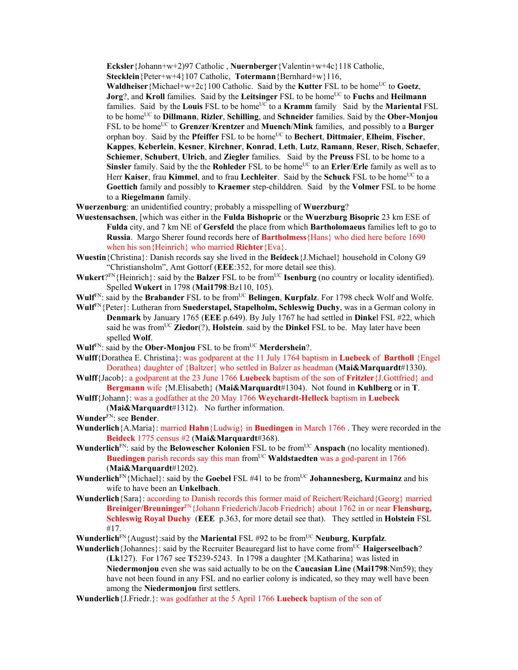**Ecksler**{Johann+w+2)97 Catholic , **Nuernberger**{Valentin+w+4c}118 Catholic,

**Stecklein**{Peter+w+4}107 Catholic, **Totermann**{Bernhard+w}116,

**Waldheiser** {Michael+w+2c}100 Catholic. Said by the **Kutter** FSL to be home<sup>UC</sup> to **Goetz**, **Jorg**?, and **Kroll** families. Said by the **Leitsinger** FSL to be home<sup>UC</sup> to **Fuchs** and **Heilmann** families. Said by the Louis FSL to be home<sup>UC</sup> to a **Kramm** family Said by the **Mariental** FSL to be homeUC to **Dillmann**, **Rizler**, **Schilling**, and **Schneider** families. Said by the **Ober-Monjou** FSL to be home<sup>UC</sup> to Grenzer/Krentzer and Muench/Mink families, and possibly to a Burger orphan boy. Said by the **Pfeiffer** FSL to be home<sup>UC</sup> to **Bechert**, **Dittmaier**, **Elheim**, **Fischer**, **Kappes**, **Keberlein**, **Kesner**, **Kirchner**, **Konrad**, **Leth**, **Lutz**, **Ramann**, **Reser**, **Risch**, **Schaefer**, **Schiemer**, **Schubert**, **Ulrich**, and **Ziegler** families. Said by the **Preuss** FSL to be home to a **Sinsler** family. Said by the the **Rohleder** FSL to be home<sup>UC</sup> to an **Erler/Erle** family as well as to Herr **Kaiser**, frau **Kimmel**, and to frau Lechleiter. Said by the **Schuck** FSL to be home<sup>UC</sup> to a **Goettich** family and possibly to **Kraemer** step-childdren. Said by the **Volmer** FSL to be home to a **Riegelmann** family.

**Wuerzenburg**: an unidentified country; probably a misspelling of **Wuerzburg**?

- **Wuestensachsen**, [which was either in the **Fulda Bishopric** or the **Wuerzburg Bisopric** 23 km ESE of **Fulda** city, and 7 km NE of **Gersfeld** the place from which **Bartholomaeus** families left to go to **Russia**. Margo Sherer found records here of **Bartholmess**{Hans} who died here before 1690 when his son{Heinrich} who married **Richter**{Eva}.
- **Wuestin**{Christina}: Danish records say she lived in the **Beideck**{J.Michael} household in Colony G9 "Christiansholm", Amt Gottorf (**EEE**:352, for more detail see this).
- **Wukert**?FN{Heinrich}: said by the **Balzer** FSL to be from<sup>UC</sup> **Isenburg** (no country or locality identified). Spelled **Wukert** in 1798 (**Mai1798**:Bz110, 105).
- **Wulf**<sup>FN</sup>: said by the **Brabander** FSL to be from<sup>UC</sup> **Belingen**, **Kurpfalz**. For 1798 check Wolf and Wolfe.
- **Wulf**FN{Peter}: Lutheran from **Suederstapel, Stapelholm, Schleswig Duchy**, was in a German colony in **Denmark** by January 1765 (**EEE** p.649). By July 1767 he had settled in **Dinke**l FSL #22, which said he was from<sup>UC</sup> **Ziedor**(?), **Holstein**. said by the **Dinkel** FSL to be. May later have been spelled **Wolf**.
- **Wulf<sup>FN</sup>: said by the Ober-Monjou FSL to be from<sup>UC</sup> Merdershein?.**
- **Wulff**{Dorathea E. Christina}: was godparent at the 11 July 1764 baptism in **Luebeck** of **Bartholl** {Engel Dorathea} daughter of {Baltzer} who settled in Balzer as headman (**Mai&Marquardt**#1330).
- **Wulff**{Jacob}: a godparent at the 23 June 1766 **Luebeck** baptism of the son of **Fritzler**{J.Gottfried} and **Bergmann** wife {M.Elisabeth} (**Mai&Marquardt**#1304). Not found in **Kuhlberg** or in **T**.
- **Wulff**{Johann}: was a godfather at the 20 May 1766 **Weychardt-Helleck** baptism in **Luebeck** (**Mai&Marquardt**#1312). No further information.

**Wunder**FN: see **Bender**.

- **Wunderlich**{A.Maria}: married **Hahn**{Ludwig} in **Buedingen** in March 1766 . They were recorded in the **Beideck** 1775 census #2 (**Mai&Marquardt**#368).
- **Wunderlich**<sup>FN</sup>: said by the **Belowescher Kolonien** FSL to be from<sup>UC</sup> **Anspach** (no locality mentioned). **Buedingen** parish records say this man from<sup>UC</sup> **Waldstaedten** was a god-parent in 1766 (**Mai&Marquardt**#1202).
- **Wunderlich**<sup>FN</sup>{Michael}: said by the **Goebel** FSL #41 to be from<sup>UC</sup> **Johannesberg, Kurmainz** and his wife to have been an **Unkelbach**.
- **Wunderlich**{Sara}: according to Danish records this former maid of Reichert/Reichard{Georg} married **Breiniger/Breuninger**FN{Johann Friederich/Jacob Friedrich} about 1762 in or near **Flensburg, Schleswig Royal Duchy** (**EEE** p.363, for more detail see that). They settled in **Holstein** FSL #17.
- **Wunderlich**<sup>FN</sup>{August}:said by the **Mariental** FSL #92 to be from<sup>UC</sup> **Neuburg**, **Kurpfalz**.

**Wunderlich**{Johannes}: said by the Recruiter Beauregard list to have come from<sup>UC</sup> **Haigerseelbach**? (**Lk**127). For 1767 see **T**5239-5243. In 1798 a daughter {M.Katharina} was listed in **Niedermonjou** even she was said actually to be on the **Caucasian Line** (**Mai1798**:Nm59); they have not been found in any FSL and no earlier colony is indicated, so they may well have been among the **Niedermonjou** first settlers.

**Wunderlich**{J.Friedr.}: was godfather at the 5 April 1766 **Luebeck** baptism of the son of